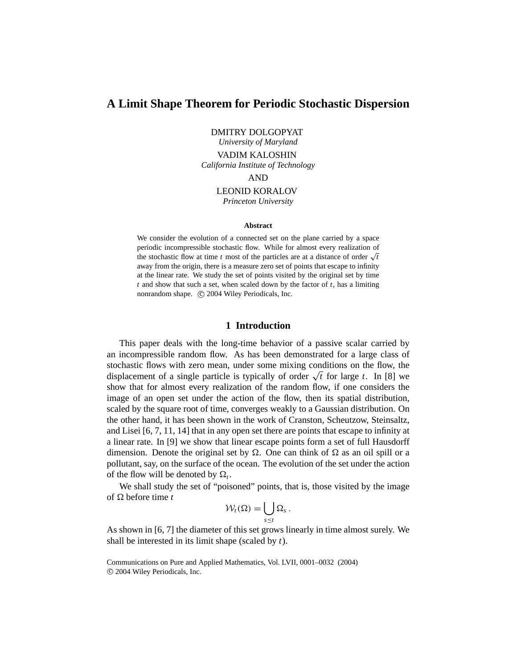# **A Limit Shape Theorem for Periodic Stochastic Dispersion**

DMITRY DOLGOPYAT

*University of Maryland* VADIM KALOSHIN *California Institute of Technology* AND LEONID KORALOV

*Princeton University*

#### **Abstract**

We consider the evolution of a connected set on the plane carried by a space periodic incompressible stochastic flow. While for almost every realization of the stochastic flow at time *t* most of the particles are at a distance of order  $\sqrt{t}$ away from the origin, there is a measure zero set of points that escape to infinity at the linear rate. We study the set of points visited by the original set by time *t* and show that such a set, when scaled down by the factor of *t*, has a limiting nonrandom shape. (C) 2004 Wiley Periodicals, Inc.

# **1 Introduction**

This paper deals with the long-time behavior of a passive scalar carried by an incompressible random flow. As has been demonstrated for a large class of stochastic flows with zero mean, under some mixing conditions on the flow, the displacement of a single particle is typically of order  $\sqrt{t}$  for large *t*. In [8] we show that for almost every realization of the random flow, if one considers the image of an open set under the action of the flow, then its spatial distribution, scaled by the square root of time, converges weakly to a Gaussian distribution. On the other hand, it has been shown in the work of Cranston, Scheutzow, Steinsaltz, and Lisei [6, 7, 11, 14] that in any open set there are points that escape to infinity at a linear rate. In [9] we show that linear escape points form a set of full Hausdorff dimension. Denote the original set by  $\Omega$ . One can think of  $\Omega$  as an oil spill or a pollutant, say, on the surface of the ocean. The evolution of the set under the action of the flow will be denoted by  $\Omega_t$ .

We shall study the set of "poisoned" points, that is, those visited by the image of  $\Omega$  before time *t* 

$$
\mathcal{W}_t(\Omega)=\bigcup_{s\leq t}\Omega_s.
$$

As shown in [6, 7] the diameter of this set grows linearly in time almost surely. We shall be interested in its limit shape (scaled by *t*).

Communications on Pure and Applied Mathematics, Vol. LVII, 0001–0032 (2004) c 2004 Wiley Periodicals, Inc.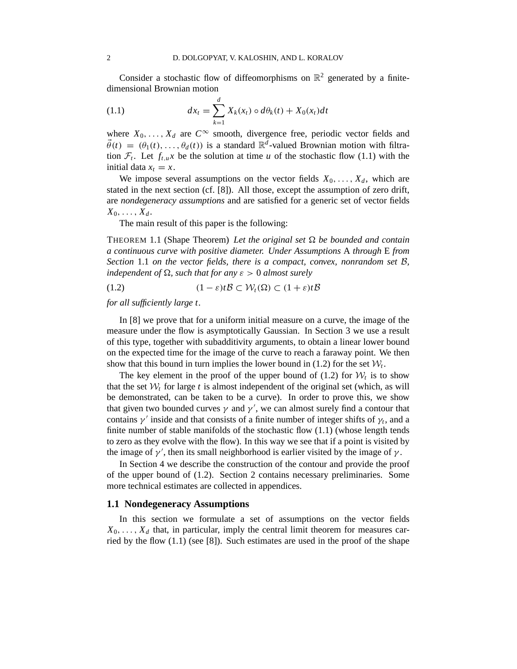Consider a stochastic flow of diffeomorphisms on  $\mathbb{R}^2$  generated by a finitedimensional Brownian motion

(1.1) 
$$
dx_t = \sum_{k=1}^d X_k(x_t) \circ d\theta_k(t) + X_0(x_t)dt
$$

where  $X_0, \ldots, X_d$  are  $C^{\infty}$  smooth, divergence free, periodic vector fields and  $\vec{\theta}(t) = (\theta_1(t), \dots, \theta_d(t))$  is a standard  $\mathbb{R}^d$ -valued Brownian motion with filtration  $\mathcal{F}_t$ . Let  $f_{t,u}x$  be the solution at time *u* of the stochastic flow (1.1) with the initial data  $x_t = x$ .

We impose several assumptions on the vector fields  $X_0, \ldots, X_d$ , which are stated in the next section (cf. [8]). All those, except the assumption of zero drift, are *nondegeneracy assumptions* and are satisfied for a generic set of vector fields  $X_0, \ldots, X_d$ .

The main result of this paper is the following:

THEOREM 1.1 (Shape Theorem) *Let the original set be bounded and contain a continuous curve with positive diameter. Under Assumptions* A *through* E *from Section* 1.1 *on the vector fields, there is a compact, convex, nonrandom set* B*, independent of*  $\Omega$ , *such that for any*  $\varepsilon > 0$  *almost surely* 

(1.2)  $(1 - \varepsilon)t\mathcal{B} \subset \mathcal{W}_t(\Omega) \subset (1 + \varepsilon)t\mathcal{B}$ 

*for all sufficiently large t.*

In [8] we prove that for a uniform initial measure on a curve, the image of the measure under the flow is asymptotically Gaussian. In Section 3 we use a result of this type, together with subadditivity arguments, to obtain a linear lower bound on the expected time for the image of the curve to reach a faraway point. We then show that this bound in turn implies the lower bound in  $(1.2)$  for the set  $\mathcal{W}_t$ .

The key element in the proof of the upper bound of  $(1.2)$  for  $W_t$  is to show that the set  $W_t$  for large t is almost independent of the original set (which, as will be demonstrated, can be taken to be a curve). In order to prove this, we show that given two bounded curves  $\gamma$  and  $\gamma'$ , we can almost surely find a contour that contains  $\gamma'$  inside and that consists of a finite number of integer shifts of  $\gamma_t$ , and a finite number of stable manifolds of the stochastic flow  $(1.1)$  (whose length tends to zero as they evolve with the flow). In this way we see that if a point is visited by the image of  $\gamma'$ , then its small neighborhood is earlier visited by the image of  $\gamma$ .

In Section 4 we describe the construction of the contour and provide the proof of the upper bound of (1.2). Section 2 contains necessary preliminaries. Some more technical estimates are collected in appendices.

#### **1.1 Nondegeneracy Assumptions**

In this section we formulate a set of assumptions on the vector fields  $X_0, \ldots, X_d$  that, in particular, imply the central limit theorem for measures carried by the flow (1.1) (see [8]). Such estimates are used in the proof of the shape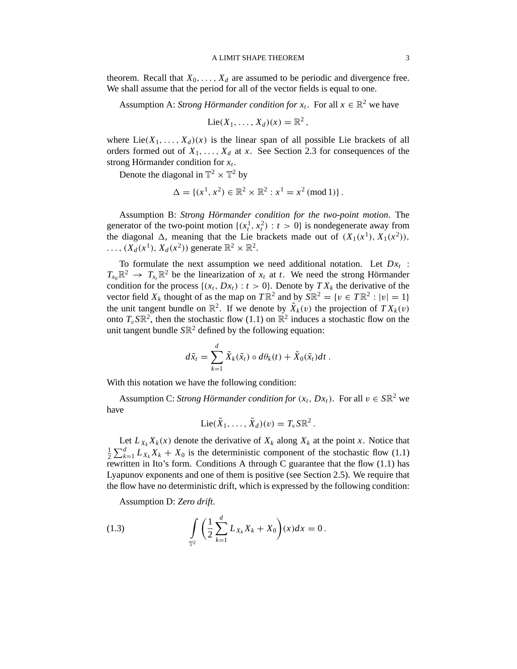theorem. Recall that  $X_0, \ldots, X_d$  are assumed to be periodic and divergence free. We shall assume that the period for all of the vector fields is equal to one.

Assumption A: *Strong Hörmander condition for*  $x_t$ . For all  $x \in \mathbb{R}^2$  we have

$$
Lie(X_1,\ldots,X_d)(x)=\mathbb{R}^2,
$$

where  $Lie(X_1, \ldots, X_d)(x)$  is the linear span of all possible Lie brackets of all orders formed out of  $X_1, \ldots, X_d$  at *x*. See Section 2.3 for consequences of the strong Hörmander condition for *x<sup>t</sup>* .

Denote the diagonal in  $\mathbb{T}^2 \times \mathbb{T}^2$  by

$$
\Delta = \{(x^1, x^2) \in \mathbb{R}^2 \times \mathbb{R}^2 : x^1 = x^2 \pmod{1}\}.
$$

Assumption B: *Strong Hörmander condition for the two-point motion*. The generator of the two-point motion  $\{(x_t^1, x_t^2) : t > 0\}$  is nondegenerate away from the diagonal  $\Delta$ , meaning that the Lie brackets made out of  $(X_1(x^1), X_1(x^2))$ ,  $\ldots$ ,  $(X_d(x^1), X_d(x^2))$  generate  $\mathbb{R}^2 \times \mathbb{R}^2$ .

To formulate the next assumption we need additional notation. Let  $Dx_t$ :  $T_{x_0}$  $\mathbb{R}^2 \to T_{x_t}$  $\mathbb{R}^2$  be the linearization of  $x_t$  at *t*. We need the strong Hörmander condition for the process  $\{(x_t, Dx_t) : t > 0\}$ . Denote by  $TX_k$  the derivative of the vector field  $X_k$  thought of as the map on  $T \mathbb{R}^2$  and by  $S \mathbb{R}^2 = \{v \in T \mathbb{R}^2 : |v| = 1\}$ the unit tangent bundle on  $\mathbb{R}^2$ . If we denote by  $\tilde{X}_k(v)$  the projection of  $TX_k(v)$ onto  $T_v S \mathbb{R}^2$ , then the stochastic flow (1.1) on  $\mathbb{R}^2$  induces a stochastic flow on the unit tangent bundle *S*R <sup>2</sup> defined by the following equation:

$$
d\tilde{x}_t = \sum_{k=1}^d \tilde{X}_k(\tilde{x}_t) \circ d\theta_k(t) + \tilde{X}_0(\tilde{x}_t)dt.
$$

With this notation we have the following condition:

Assumption C: *Strong Hörmander condition for*  $(x_t, Dx_t)$ . For all  $v \in S\mathbb{R}^2$  we have

$$
\mathrm{Lie}(\tilde{X}_1,\ldots,\tilde{X}_d)(v)=T_v\mathrm{S}\mathbb{R}^2.
$$

Let  $L_{X_k} X_k(x)$  denote the derivative of  $X_k$  along  $X_k$  at the point *x*. Notice that 1  $\frac{1}{2}\sum_{k=1}^{d} L_{X_k} X_k + X_0$  is the deterministic component of the stochastic flow (1.1) rewritten in Ito's form. Conditions A through C guarantee that the flow (1.1) has Lyapunov exponents and one of them is positive (see Section 2.5). We require that the flow have no deterministic drift, which is expressed by the following condition:

Assumption D: *Zero drift*.

(1.3) 
$$
\int_{\mathbb{T}^2} \left( \frac{1}{2} \sum_{k=1}^d L_{X_k} X_k + X_0 \right) (x) dx = 0.
$$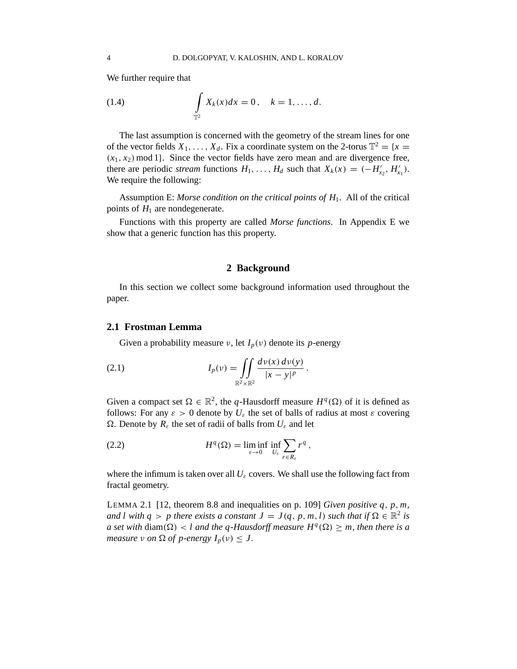We further require that

(1.4) 
$$
\int_{\mathbb{T}^2} X_k(x) dx = 0, \quad k = 1, ..., d.
$$

The last assumption is concerned with the geometry of the stream lines for one of the vector fields  $X_1, \ldots, X_d$ . Fix a coordinate system on the 2-torus  $\mathbb{T}^2 = \{x =$  $(x_1, x_2)$  mod 1}. Since the vector fields have zero mean and are divergence free, there are periodic *stream* functions  $H_1, \ldots, H_d$  such that  $X_k(x) = (-H'_{x_2}, H'_{x_1})$ . We require the following:

Assumption E: *Morse condition on the critical points of H*1. All of the critical points of  $H_1$  are nondegenerate.

Functions with this property are called *Morse functions*. In Appendix E we show that a generic function has this property.

#### **2 Background**

In this section we collect some background information used throughout the paper.

# **2.1 Frostman Lemma**

Given a probability measure  $\nu$ , let  $I_p(\nu)$  denote its *p*-energy

(2.1) 
$$
I_p(\nu) = \iint_{\mathbb{R}^2 \times \mathbb{R}^2} \frac{d\nu(x) d\nu(y)}{|x - y|^p}
$$

Given a compact set  $\Omega \in \mathbb{R}^2$ , the *q*-Hausdorff measure  $H^q(\Omega)$  of it is defined as follows: For any  $\varepsilon > 0$  denote by  $U_{\varepsilon}$  the set of balls of radius at most  $\varepsilon$  covering . Denote by *R*<sup>ε</sup> the set of radii of balls from *U*<sup>ε</sup> and let

.

(2.2) 
$$
H^{q}(\Omega) = \liminf_{\varepsilon \to 0} \inf_{U_{\varepsilon}} \sum_{r \in R_{\varepsilon}} r^{q},
$$

where the infimum is taken over all  $U_{\varepsilon}$  covers. We shall use the following fact from fractal geometry.

LEMMA 2.1 [12, theorem 8.8 and inequalities on p. 109] *Given positive q*, *p*, *m, and l with*  $q > p$  *there exists a constant*  $J = J(q, p, m, l)$  *such that if*  $\Omega \in \mathbb{R}^2$  *is a set with* diam( $\Omega$ ) < *l and the q-Hausdorff measure*  $H^q(\Omega) \geq m$ , then there is a *measure*  $\nu$  *on*  $\Omega$  *of*  $p$ -energy  $I_p(\nu) \leq J$ .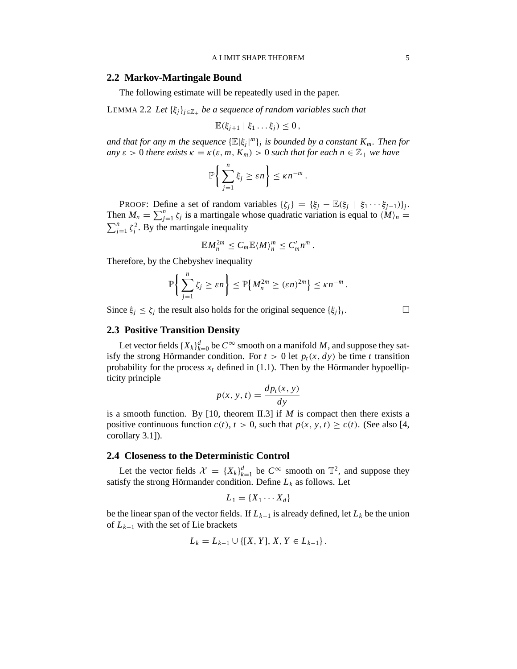#### **2.2 Markov-Martingale Bound**

The following estimate will be repeatedly used in the paper.

LEMMA 2.2 *Let* {ξ*j*}*<sup>j</sup>*∈Z<sup>+</sup> *be a sequence of random variables such that*

$$
\mathbb{E}(\xi_{j+1} \mid \xi_1 \ldots \xi_j) \leq 0\,,
$$

*and that for any m the sequence*  $\{\mathbb{E}|\xi_j|^m\}_j$  *is bounded by a constant*  $K_m$ *. Then for any*  $\varepsilon > 0$  *there exists*  $\kappa = \kappa(\varepsilon, m, K_m) > 0$  *such that for each*  $n \in \mathbb{Z}_+$  *we have* 

$$
\mathbb{P}\bigg\{\sum_{j=1}^n \xi_j \geq \varepsilon n\bigg\} \leq \kappa n^{-m}.
$$

PROOF: Define a set of random variables  $\{\zeta_j\} = \{\xi_j - \mathbb{E}(\xi_j \mid \xi_1 \cdots \xi_{j-1})\}_j$ . Then  $M_n = \sum_{j=1}^n \zeta_j$  is a martingale whose quadratic variation is equal to  $\langle M \rangle_n = \sum_{j=1}^n \zeta_j^2$ . By the martingale inequality  $j_{j=1}^n \zeta_j^2$ . By the martingale inequality

$$
\mathbb{E} M_n^{2m} \leq C_m \mathbb{E} \langle M \rangle_n^m \leq C_m' n^m.
$$

Therefore, by the Chebyshev inequality

$$
\mathbb{P}\bigg\{\sum_{j=1}^n \zeta_j \geq \varepsilon n\bigg\} \leq \mathbb{P}\big\{M_n^{2m} \geq (\varepsilon n)^{2m}\big\} \leq \kappa n^{-m}.
$$

Since  $\xi_j \le \zeta_j$  the result also holds for the original sequence  $\{\xi_j\}_j$ 

. — П

# **2.3 Positive Transition Density**

Let vector fields  $\{X_k\}_{k=0}^d$  be  $C^\infty$  smooth on a manifold *M*, and suppose they satisfy the strong Hörmander condition. For  $t > 0$  let  $p_t(x, dy)$  be time *t* transition probability for the process  $x_t$  defined in (1.1). Then by the Hörmander hypoellipticity principle

$$
p(x, y, t) = \frac{dp_t(x, y)}{dy}
$$

is a smooth function. By [10, theorem II.3] if  $M$  is compact then there exists a positive continuous function  $c(t)$ ,  $t > 0$ , such that  $p(x, y, t) \ge c(t)$ . (See also [4, corollary 3.1]).

## **2.4 Closeness to the Deterministic Control**

Let the vector fields  $\mathcal{X} = \{X_k\}_{k=1}^d$  be  $C^{\infty}$  smooth on  $\mathbb{T}^2$ , and suppose they satisfy the strong Hörmander condition. Define *L<sup>k</sup>* as follows. Let

$$
L_1 = \{X_1 \cdots X_d\}
$$

be the linear span of the vector fields. If  $L_{k-1}$  is already defined, let  $L_k$  be the union of *L<sup>k</sup>*−<sup>1</sup> with the set of Lie brackets

$$
L_k = L_{k-1} \cup \{ [X, Y], X, Y \in L_{k-1} \}.
$$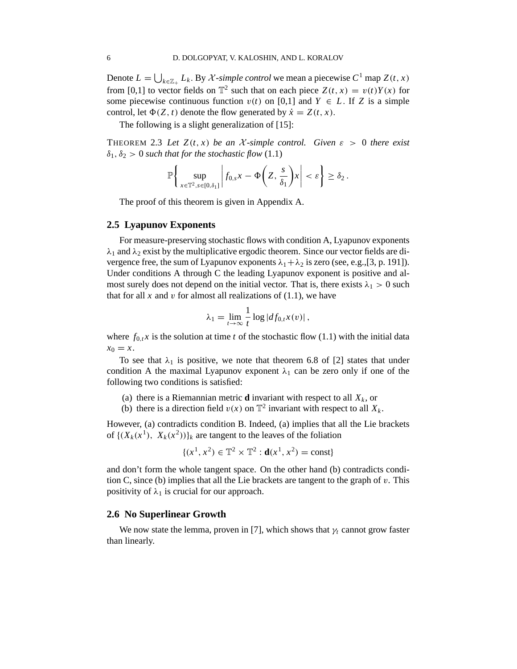Denote  $L = \bigcup_{k \in \mathbb{Z}_+} L_k$ . By X-simple control we mean a piecewise  $C^1$  map  $Z(t, x)$ from [0,1] to vector fields on  $\mathbb{T}^2$  such that on each piece  $Z(t, x) = v(t)Y(x)$  for some piecewise continuous function  $v(t)$  on [0,1] and  $Y \in L$ . If *Z* is a simple control, let  $\Phi(Z, t)$  denote the flow generated by  $\dot{x} = Z(t, x)$ .

The following is a slight generalization of [15]:

THEOREM 2.3 Let  $Z(t, x)$  be an X-simple control. Given  $\varepsilon > 0$  there exist  $\delta_1, \delta_2 > 0$  *such that for the stochastic flow* (1.1)

$$
\mathbb{P}\bigg\{\sup_{x\in\mathbb{T}^2,\,s\in[0,\delta_1]}\bigg|f_{0,s}x-\Phi\bigg(Z,\frac{s}{\delta_1}\bigg)x\bigg|<\varepsilon\bigg\}\geq\delta_2\,.
$$

The proof of this theorem is given in Appendix A.

## **2.5 Lyapunov Exponents**

For measure-preserving stochastic flows with condition A, Lyapunov exponents  $\lambda_1$  and  $\lambda_2$  exist by the multiplicative ergodic theorem. Since our vector fields are divergence free, the sum of Lyapunov exponents  $\lambda_1 + \lambda_2$  is zero (see, e.g., [3, p. 191]). Under conditions A through C the leading Lyapunov exponent is positive and almost surely does not depend on the initial vector. That is, there exists  $\lambda_1 > 0$  such that for all  $x$  and  $v$  for almost all realizations of  $(1.1)$ , we have

$$
\lambda_1 = \lim_{t \to \infty} \frac{1}{t} \log |df_{0,t} x(v)|,
$$

where  $f_{0,t}$ *x* is the solution at time *t* of the stochastic flow (1.1) with the initial data  $x_0 = x$ .

To see that  $\lambda_1$  is positive, we note that theorem 6.8 of [2] states that under condition A the maximal Lyapunov exponent  $\lambda_1$  can be zero only if one of the following two conditions is satisfied:

- (a) there is a Riemannian metric **d** invariant with respect to all  $X_k$ , or
- (b) there is a direction field  $v(x)$  on  $\mathbb{T}^2$  invariant with respect to all  $X_k$ .

However, (a) contradicts condition B. Indeed, (a) implies that all the Lie brackets of  $\{(X_k(x^1), X_k(x^2))\}_k$  are tangent to the leaves of the foliation

$$
\{(x^1, x^2) \in \mathbb{T}^2 \times \mathbb{T}^2 : \mathbf{d}(x^1, x^2) = \text{const}\}
$$

and don't form the whole tangent space. On the other hand (b) contradicts condition C, since (b) implies that all the Lie brackets are tangent to the graph of  $v$ . This positivity of  $\lambda_1$  is crucial for our approach.

#### **2.6 No Superlinear Growth**

We now state the lemma, proven in [7], which shows that  $\gamma_t$  cannot grow faster than linearly.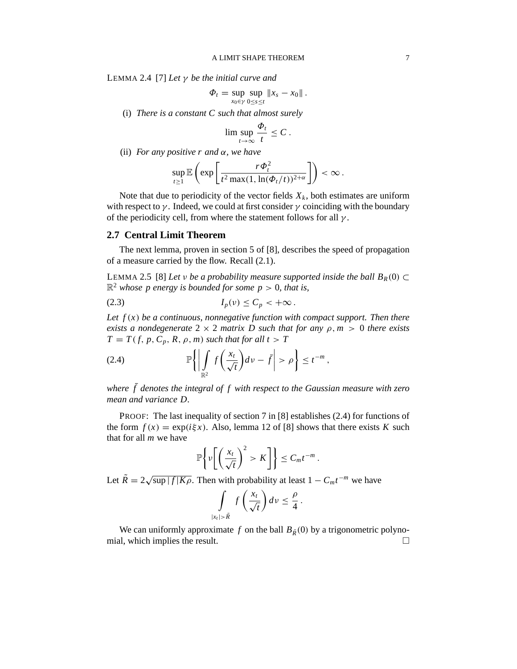LEMMA 2.4 [7] *Let* γ *be the initial curve and*

$$
\Phi_t = \sup_{x_0 \in \gamma} \sup_{0 \le s \le t} \|x_s - x_0\|.
$$

(i) *There is a constant C such that almost surely*

$$
\limsup_{t\to\infty}\frac{\Phi_t}{t}\leq C\,.
$$

(ii) *For any positive r and* α*, we have*

$$
\sup_{t\geq 1}\mathbb{E}\left(\exp\left[\frac{r\Phi_t^2}{t^2\max(1,\ln(\Phi_t/t))^{2+\alpha}}\right]\right)<\infty.
$$

Note that due to periodicity of the vector fields  $X_k$ , both estimates are uniform with respect to  $\gamma$ . Indeed, we could at first consider  $\gamma$  coinciding with the boundary of the periodicity cell, from where the statement follows for all  $\gamma$ .

#### **2.7 Central Limit Theorem**

The next lemma, proven in section 5 of [8], describes the speed of propagation of a measure carried by the flow. Recall (2.1).

LEMMA 2.5 [8] *Let v be a probability measure supported inside the ball*  $B_R(0) \subset$  $\mathbb{R}^2$  whose p energy is bounded for some  $p > 0$ , that is,

$$
(2.3) \tI_p(\nu) \leq C_p < +\infty.
$$

*Let f* (*x*) *be a continuous, nonnegative function with compact support. Then there exists a nondegenerate*  $2 \times 2$  *matrix D such that for any*  $\rho$ ,  $m > 0$  *there exists*  $T = T(f, p, C_p, R, \rho, m)$  *such that for all t* > *T* 

(2.4) 
$$
\mathbb{P}\left\{\left|\int\limits_{\mathbb{R}^2} f\left(\frac{x_t}{\sqrt{t}}\right) dv - \bar{f}\right| > \rho\right\} \leq t^{-m},
$$

*where*  $\bar{f}$  denotes the integral of  $f$  with respect to the Gaussian measure with zero *mean and variance D.*

PROOF: The last inequality of section 7 in [8] establishes (2.4) for functions of the form  $f(x) = \exp(i\xi x)$ . Also, lemma 12 of [8] shows that there exists *K* such that for all *m* we have

$$
\mathbb{P}\bigg\{\nu\bigg[\bigg(\frac{x_t}{\sqrt{t}}\bigg)^2 > K\bigg]\bigg\} \leq C_m t^{-m}.
$$

Let  $\tilde{R} = 2\sqrt{\sup |f|K\rho}$ . Then with probability at least  $1 - C_m t^{-m}$  we have

$$
\int_{|x_t| > \tilde{R}} f\left(\frac{x_t}{\sqrt{t}}\right) dv \le \frac{\rho}{4}
$$

.

We can uniformly approximate *f* on the ball  $B_{\tilde{R}}(0)$  by a trigonometric polyno-<br>al. which implies the result. mial, which implies the result.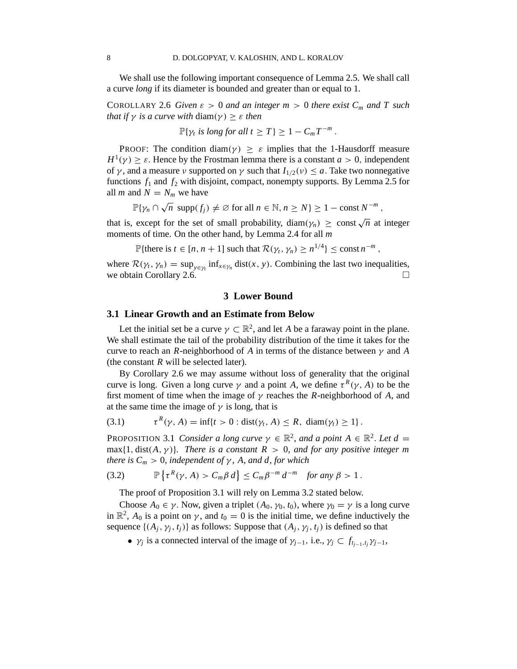We shall use the following important consequence of Lemma 2.5. We shall call a curve *long* if its diameter is bounded and greater than or equal to 1.

COROLLARY 2.6 *Given*  $\varepsilon > 0$  *and an integer*  $m > 0$  *there exist*  $C_m$  *and*  $T$  *such that if*  $\gamma$  *is a curve with* diam( $\gamma$ )  $\geq \varepsilon$  *then* 

$$
\mathbb{P}\{\gamma_t \text{ is long for all } t \geq T\} \geq 1 - C_m T^{-m}.
$$

PROOF: The condition diam( $\gamma$ )  $\geq \varepsilon$  implies that the 1-Hausdorff measure  $H^1(\gamma) \geq \varepsilon$ . Hence by the Frostman lemma there is a constant *a* > 0, independent of  $\gamma$ , and a measure  $\nu$  supported on  $\gamma$  such that  $I_{1/2}(\nu) \leq a$ . Take two nonnegative functions  $f_1$  and  $f_2$  with disjoint, compact, nonempty supports. By Lemma 2.5 for all *m* and  $N = N_m$  we have

$$
\mathbb{P}\{\gamma_n \cap \sqrt{n} \, \text{ supp}(f_j) \neq \varnothing \text{ for all } n \in \mathbb{N}, n \geq N\} \geq 1 - \text{const } N^{-m},
$$

that is, except for the set of small probability, diam( $\gamma_n$ )  $\geq$  const  $\sqrt{n}$  at integer moments of time. On the other hand, by Lemma 2.4 for all *m*

$$
\mathbb{P}\{\text{there is } t \in [n, n+1] \text{ such that } \mathcal{R}(\gamma_t, \gamma_n) \ge n^{1/4}\} \le \text{const } n^{-m},
$$

where  $\mathcal{R}(\gamma_t, \gamma_n) = \sup_{y \in \gamma_t} \inf_{x \in \gamma_n} \text{dist}(x, y)$ . Combining the last two inequalities, we obtain Corollary 2.6.

#### **3 Lower Bound**

#### **3.1 Linear Growth and an Estimate from Below**

Let the initial set be a curve  $\gamma \subset \mathbb{R}^2$ , and let *A* be a faraway point in the plane. We shall estimate the tail of the probability distribution of the time it takes for the curve to reach an *R*-neighborhood of *A* in terms of the distance between  $\gamma$  and *A* (the constant *R* will be selected later).

By Corollary 2.6 we may assume without loss of generality that the original curve is long. Given a long curve  $\gamma$  and a point *A*, we define  $\tau^R(\gamma, A)$  to be the first moment of time when the image of  $\gamma$  reaches the *R*-neighborhood of *A*, and at the same time the image of  $\gamma$  is long, that is

$$
(3.1) \qquad \tau^R(\gamma, A) = \inf\{t > 0 : \text{dist}(\gamma_t, A) \le R, \ \text{diam}(\gamma_t) \ge 1\}.
$$

PROPOSITION 3.1 *Consider a long curve*  $\gamma \in \mathbb{R}^2$ , and a point  $A \in \mathbb{R}^2$ . Let  $d =$ max $\{1, dist(A, \gamma)\}\$ . There is a constant  $R > 0$ , and for any positive integer m *there is*  $C_m > 0$ *, independent of*  $\gamma$ *, A, and d, for which* 

(3.2) 
$$
\mathbb{P}\left\{\tau^{R}(\gamma, A) > C_m \beta d\right\} \leq C_m \beta^{-m} d^{-m} \text{ for any } \beta > 1.
$$

The proof of Proposition 3.1 will rely on Lemma 3.2 stated below.

Choose  $A_0 \in \gamma$ . Now, given a triplet  $(A_0, \gamma_0, t_0)$ , where  $\gamma_0 = \gamma$  is a long curve in  $\mathbb{R}^2$ ,  $A_0$  is a point on  $\gamma$ , and  $t_0 = 0$  is the initial time, we define inductively the sequence  $\{(A_j, \gamma_j, t_j)\}$  as follows: Suppose that  $(A_j, \gamma_j, t_j)$  is defined so that

•  $\gamma_j$  is a connected interval of the image of  $\gamma_{j-1}$ , i.e.,  $\gamma_j \subset f_{t_{j-1}, t_j} \gamma_{j-1}$ ,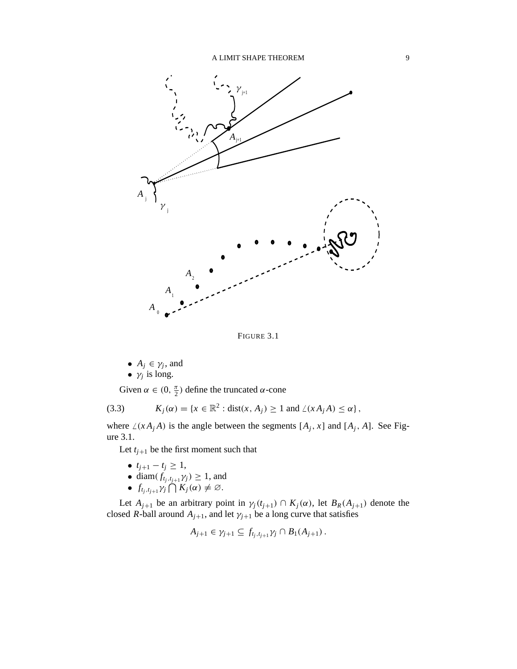

FIGURE 3.1

\n- $$
A_j \in \gamma_j
$$
, and
\n- $\gamma_j$  is long.
\n

Given  $\alpha \in (0, \frac{\pi}{2})$  $\frac{\pi}{2}$ ) define the truncated α-cone

(3.3) 
$$
K_j(\alpha) = \{x \in \mathbb{R}^2 : \text{dist}(x, A_j) \ge 1 \text{ and } \angle(xA_jA) \le \alpha\},
$$

where  $\angle(x A_j A)$  is the angle between the segments  $[A_j, x]$  and  $[A_j, A]$ . See Figure 3.1.

Let  $t_{j+1}$  be the first moment such that

- $t_{j+1} t_j \geq 1$ ,
- diam $(f_{t_j,t_{j+1}}\gamma_j) \geq 1$ , and
- $f_{t_j,t_{j+1}}\gamma_j \bigcap K_j(\alpha) \neq \emptyset$ .

Let  $A_{j+1}$  be an arbitrary point in  $\gamma_j(t_{j+1}) \cap K_j(\alpha)$ , let  $B_R(A_{j+1})$  denote the closed *R*-ball around  $A_{j+1}$ , and let  $\gamma_{j+1}$  be a long curve that satisfies

$$
A_{j+1}\in\gamma_{j+1}\subseteq f_{t_j,t_{j+1}}\gamma_j\cap B_1(A_{j+1})\,.
$$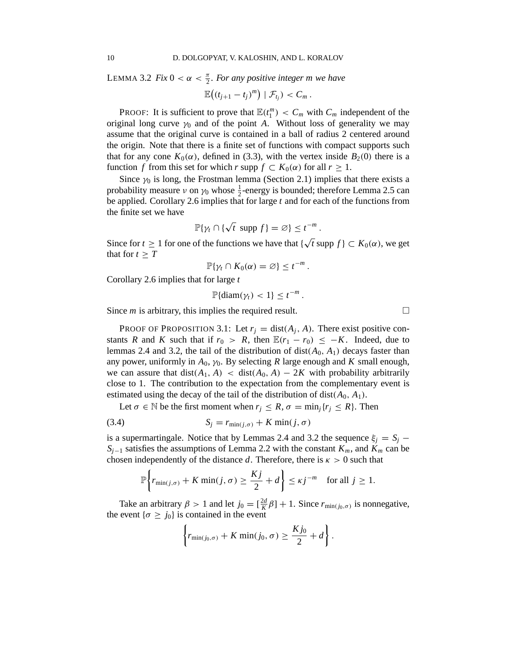LEMMA 3.2 *Fix*  $0 < \alpha < \frac{\pi}{2}$ *. For any positive integer m we have* 

$$
\mathbb{E}\big((t_{j+1}-t_j)^m\big)\mid \mathcal{F}_{t_j}\big)< C_m.
$$

PROOF: It is sufficient to prove that  $\mathbb{E}(t_1^m) < C_m$  with  $C_m$  independent of the original long curve  $\gamma_0$  and of the point *A*. Without loss of generality we may assume that the original curve is contained in a ball of radius 2 centered around the origin. Note that there is a finite set of functions with compact supports such that for any cone  $K_0(\alpha)$ , defined in (3.3), with the vertex inside  $B_2(0)$  there is a function *f* from this set for which *r* supp  $f \subset K_0(\alpha)$  for all  $r \geq 1$ .

Since  $\gamma_0$  is long, the Frostman lemma (Section 2.1) implies that there exists a probability measure  $\nu$  on  $\gamma_0$  whose  $\frac{1}{2}$ -energy is bounded; therefore Lemma 2.5 can be applied. Corollary 2.6 implies that for large *t* and for each of the functions from the finite set we have

$$
\mathbb{P}\{\gamma_t \cap \{\sqrt{t} \text{ supp } f\} = \varnothing\} \leq t^{-m}.
$$

Since for *t*  $\geq 1$  for one of the functions we have that  $\{\sqrt{t} \text{ supp } f\} \subset K_0(\alpha)$ , we get that for  $t \geq T$ 

$$
\mathbb{P}\{\gamma_t \cap K_0(\alpha) = \varnothing\} \leq t^{-m}.
$$

Corollary 2.6 implies that for large *t*

$$
\mathbb{P}\{\text{diam}(\gamma_t) < 1\} \leq t^{-m}.
$$

Since  $m$  is arbitrary, this implies the required result.  $\Box$ 

PROOF OF PROPOSITION 3.1: Let  $r_j = \text{dist}(A_j, A)$ . There exist positive constants *R* and *K* such that if  $r_0 > R$ , then  $\mathbb{E}(r_1 - r_0) \leq -K$ . Indeed, due to lemmas 2.4 and 3.2, the tail of the distribution of  $dist(A_0, A_1)$  decays faster than any power, uniformly in  $A_0$ ,  $\gamma_0$ . By selecting *R* large enough and *K* small enough, we can assure that  $dist(A_1, A) < dist(A_0, A) - 2K$  with probability arbitrarily close to 1. The contribution to the expectation from the complementary event is estimated using the decay of the tail of the distribution of dist( $A_0$ ,  $A_1$ ).

Let  $\sigma \in \mathbb{N}$  be the first moment when  $r_j \leq R$ ,  $\sigma = \min_j \{r_j \leq R\}$ . Then

(3.4) 
$$
S_j = r_{\min(j,\sigma)} + K \min(j,\sigma)
$$

is a supermartingale. Notice that by Lemmas 2.4 and 3.2 the sequence  $\xi_i = S_i$  − *S*<sub>*j*−1</sub> satisfies the assumptions of Lemma 2.2 with the constant  $K_m$ , and  $K_m$  can be chosen independently of the distance *d*. Therefore, there is  $\kappa > 0$  such that

$$
\mathbb{P}\left\{r_{\min(j,\sigma)} + K\min(j,\sigma) \ge \frac{Kj}{2} + d\right\} \le \kappa j^{-m} \quad \text{for all } j \ge 1.
$$

Take an arbitrary  $\beta > 1$  and let  $j_0 = \left[\frac{2d}{K}\beta\right] + 1$ . Since  $r_{\min(j_0, \sigma)}$  is nonnegative, the event  $\{\sigma \geq j_0\}$  is contained in the event

$$
\left\{r_{\min(j_0,\sigma)} + K \min(j_0,\sigma) \geq \frac{Kj_0}{2} + d\right\}.
$$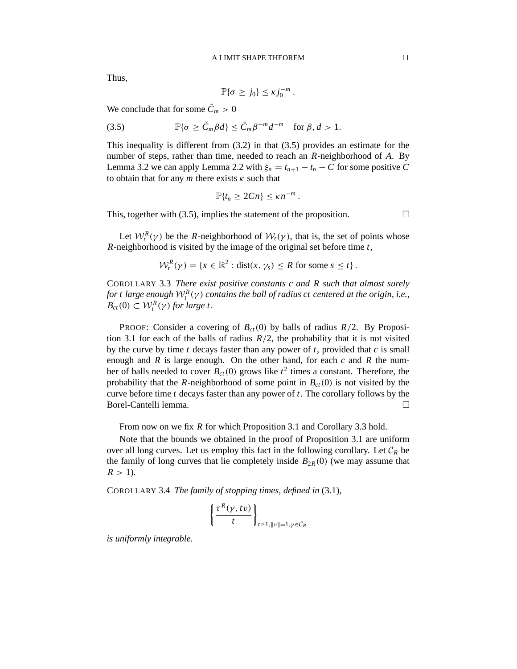Thus,

$$
\mathbb{P}\{\sigma \geq j_0\} \leq \kappa j_0^{-m}.
$$

We conclude that for some  $\tilde{C}_m > 0$ 

(3.5) 
$$
\mathbb{P}\{\sigma \geq \tilde{C}_m \beta d\} \leq \tilde{C}_m \beta^{-m} d^{-m} \text{ for } \beta, d > 1.
$$

This inequality is different from (3.2) in that (3.5) provides an estimate for the number of steps, rather than time, needed to reach an *R*-neighborhood of *A*. By Lemma 3.2 we can apply Lemma 2.2 with  $\xi_n = t_{n+1} - t_n - C$  for some positive C to obtain that for any  $m$  there exists  $\kappa$  such that

$$
\mathbb{P}\{t_n \geq 2Cn\} \leq \kappa n^{-m}.
$$

This, together with (3.5), implies the statement of the proposition.  $\Box$ 

Let  $W_t^R(\gamma)$  be the *R*-neighborhood of  $W_t(\gamma)$ , that is, the set of points whose *R*-neighborhood is visited by the image of the original set before time *t*,

$$
\mathcal{W}_t^R(\gamma) = \{x \in \mathbb{R}^2 : \text{dist}(x, \gamma_s) \leq R \text{ for some } s \leq t\}.
$$

COROLLARY 3.3 *There exist positive constants c and R such that almost surely* for  $t$  large enough  $\mathcal{W}_t^R(\gamma)$  contains the ball of radius  $ct$  centered at the origin, i.e.,  $B_{ct}(0) \subset \mathcal{W}_t^R(\gamma)$  *for large t*.

**PROOF:** Consider a covering of  $B_{ct}(0)$  by balls of radius  $R/2$ . By Proposition 3.1 for each of the balls of radius  $R/2$ , the probability that it is not visited by the curve by time *t* decays faster than any power of *t*, provided that *c* is small enough and *R* is large enough. On the other hand, for each *c* and *R* the number of balls needed to cover  $B_{ct}(0)$  grows like  $t^2$  times a constant. Therefore, the probability that the *R*-neighborhood of some point in  $B_{ct}(0)$  is not visited by the curve before time *t* decays faster than any power of *t*. The corollary follows by the Borel-Cantelli lemma.

From now on we fix *R* for which Proposition 3.1 and Corollary 3.3 hold.

Note that the bounds we obtained in the proof of Proposition 3.1 are uniform over all long curves. Let us employ this fact in the following corollary. Let  $C_R$  be the family of long curves that lie completely inside  $B_{2R}(0)$  (we may assume that  $R > 1$ ).

COROLLARY 3.4 *The family of stopping times, defined in* (3.1)*,*

$$
\left\{\frac{\tau^R(\gamma, t\nu)}{t}\right\}_{t\geq 1, ||\nu||=1, \gamma \in C_R}
$$

*is uniformly integrable.*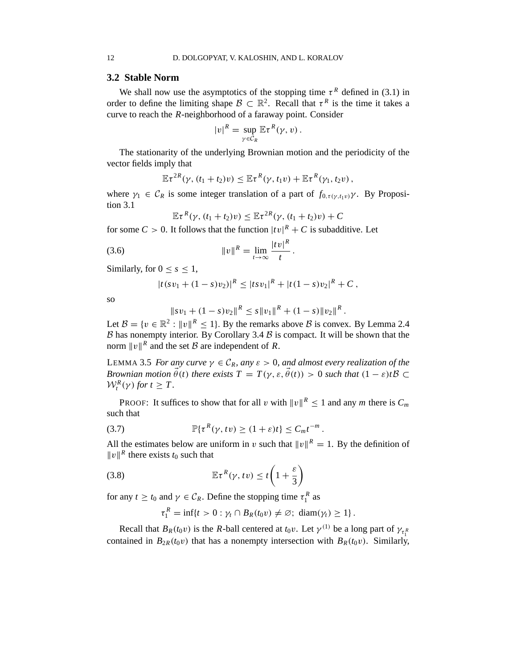#### **3.2 Stable Norm**

We shall now use the asymptotics of the stopping time  $\tau^R$  defined in (3.1) in order to define the limiting shape  $\mathcal{B} \subset \mathbb{R}^2$ . Recall that  $\tau^R$  is the time it takes a curve to reach the *R*-neighborhood of a faraway point. Consider

$$
|v|^R = \sup_{\gamma \in C_R} \mathbb{E} \tau^R(\gamma, v).
$$

The stationarity of the underlying Brownian motion and the periodicity of the vector fields imply that

$$
\mathbb{E}\tau^{2R}(\gamma,(t_1+t_2)v)\leq \mathbb{E}\tau^{R}(\gamma,t_1v)+\mathbb{E}\tau^{R}(\gamma_1,t_2v),
$$

where  $\gamma_1 \in C_R$  is some integer translation of a part of  $f_{0,\tau(\gamma,t_1\nu)}\gamma$ . By Proposition 3.1

$$
\mathbb{E}\tau^{R}(\gamma,(t_1+t_2)v)\leq \mathbb{E}\tau^{2R}(\gamma,(t_1+t_2)v)+C
$$

for some  $C > 0$ . It follows that the function  $|tv|^R + C$  is subadditive. Let

(3.6) 
$$
||v||^{R} = \lim_{t \to \infty} \frac{|tv|^{R}}{t}
$$

Similarly, for  $0 \leq s \leq 1$ ,

$$
|t(sv_1+(1-s)v_2)|^R \leq |tsv_1|^R + |t(1-s)v_2|^R + C,
$$

.

so

$$
||sv_1 + (1-s)v_2||^R \leq s ||v_1||^R + (1-s)||v_2||^R.
$$

Let  $\mathcal{B} = \{v \in \mathbb{R}^2 : ||v||^R \le 1\}$ . By the remarks above  $\mathcal{B}$  is convex. By Lemma 2.4  $\beta$  has nonempty interior. By Corollary 3.4  $\beta$  is compact. It will be shown that the norm  $||v||^R$  and the set B are independent of R.

LEMMA 3.5 *For any curve*  $\gamma \in C_R$ *, any*  $\varepsilon > 0$ *, and almost every realization of the Brownian motion*  $\vec{\theta}(t)$  *there exists*  $T = T(\gamma, \varepsilon, \vec{\theta}(t)) > 0$  *such that*  $(1 - \varepsilon)tB \subset$  $W_t^R(\gamma)$  *for*  $t \geq T$ .

**PROOF:** It suffices to show that for all v with  $||v||^R \le 1$  and any *m* there is  $C_m$ such that

(3.7) 
$$
\mathbb{P}\{\tau^R(\gamma, tv) \geq (1+\varepsilon)t\} \leq C_m t^{-m}.
$$

All the estimates below are uniform in v such that  $||v||^R = 1$ . By the definition of  $||v||^R$  there exists  $t_0$  such that

(3.8) 
$$
\mathbb{E}\tau^{R}(\gamma, tv) \leq t\left(1+\frac{\varepsilon}{3}\right)
$$

for any  $t \ge t_0$  and  $\gamma \in C_R$ . Define the stopping time  $\tau_1^R$  as

$$
\tau_1^R = \inf\{t > 0 : \gamma_t \cap B_R(t_0 v) \neq \emptyset; \ \operatorname{diam}(\gamma_t) \geq 1\}.
$$

Recall that  $B_R(t_0 v)$  is the *R*-ball centered at  $t_0 v$ . Let  $\gamma^{(1)}$  be a long part of  $\gamma_{\tau_1}$ contained in  $B_{2R}(t_0v)$  that has a nonempty intersection with  $B_R(t_0v)$ . Similarly,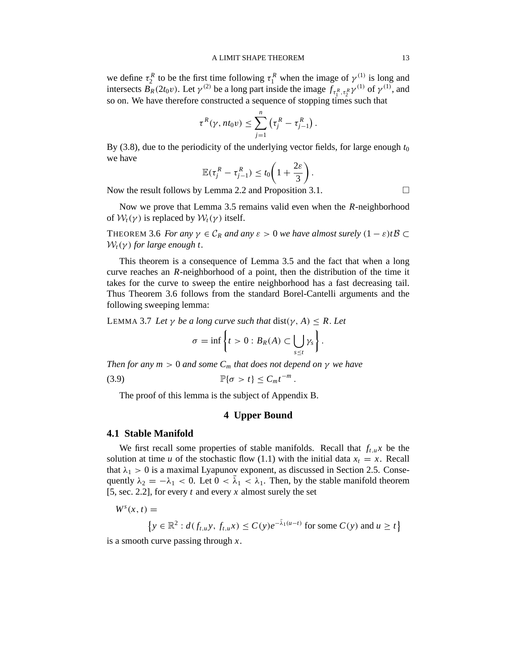we define  $\tau_2^R$  to be the first time following  $\tau_1^R$  when the image of  $\gamma^{(1)}$  is long and intersects  $B_R(2t_0v)$ . Let  $\gamma^{(2)}$  be a long part inside the image  $f_{\tau_1^R, \tau_2^R} \gamma^{(1)}$  of  $\gamma^{(1)}$ , and so on. We have therefore constructed a sequence of stopping times such that

$$
\tau^R(\gamma, nt_0\nu) \leq \sum_{j=1}^n \left(\tau_j^R - \tau_{j-1}^R\right).
$$

By (3.8), due to the periodicity of the underlying vector fields, for large enough  $t_0$ we have

$$
\mathbb{E}(\tau_j^R-\tau_{j-1}^R)\leq t_0\bigg(1+\frac{2\varepsilon}{3}\bigg).
$$

Now the result follows by Lemma 2.2 and Proposition 3.1.

Now we prove that Lemma 3.5 remains valid even when the *R*-neighborhood of  $W_t(\gamma)$  is replaced by  $W_t(\gamma)$  itself.

THEOREM 3.6 *For any*  $\gamma \in C_R$  *and any*  $\varepsilon > 0$  *we have almost surely*  $(1 - \varepsilon)tB \subset$  $W_t(\gamma)$  for large enough t.

This theorem is a consequence of Lemma 3.5 and the fact that when a long curve reaches an *R*-neighborhood of a point, then the distribution of the time it takes for the curve to sweep the entire neighborhood has a fast decreasing tail. Thus Theorem 3.6 follows from the standard Borel-Cantelli arguments and the following sweeping lemma:

LEMMA 3.7 Let  $\gamma$  be a long curve such that dist( $\gamma$ , A)  $\leq$  R. Let

$$
\sigma=\inf\left\{t>0:B_R(A)\subset\bigcup_{s\leq t}\gamma_s\right\}.
$$

*Then for any*  $m > 0$  *and some*  $C_m$  *that does not depend on*  $\gamma$  *we have* (3.9)  $\mathbb{P}\{\sigma > t\} \le C_m t^{-m}.$ 

The proof of this lemma is the subject of Appendix B.

# **4 Upper Bound**

## **4.1 Stable Manifold**

We first recall some properties of stable manifolds. Recall that  $f_{t,u}x$  be the solution at time *u* of the stochastic flow (1.1) with the initial data  $x_t = x$ . Recall that  $\lambda_1 > 0$  is a maximal Lyapunov exponent, as discussed in Section 2.5. Consequently  $\lambda_2 = -\lambda_1 < 0$ . Let  $0 < \overline{\lambda}_1 < \lambda_1$ . Then, by the stable manifold theorem [5, sec. 2.2], for every *t* and every *x* almost surely the set

 $W^s(x, t) =$ 

$$
\left\{ y \in \mathbb{R}^2 : d(f_{t,u}y, f_{t,u}x) \le C(y)e^{-\overline{\lambda}_1(u-t)}
$$
 for some  $C(y)$  and  $u \ge t \right\}$ 

is a smooth curve passing through *x*.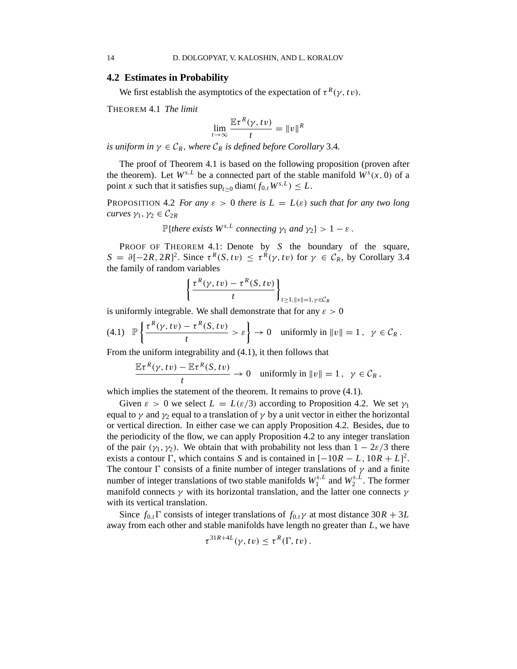#### **4.2 Estimates in Probability**

We first establish the asymptotics of the expectation of  $\tau^R(\gamma, t\nu)$ .

THEOREM 4.1 *The limit*

$$
\lim_{t \to \infty} \frac{\mathbb{E} \tau^R(\gamma, tv)}{t} = ||v||^R
$$

*is uniform in*  $\gamma \in C_R$ , *where*  $C_R$  *is defined before Corollary* 3.4*.* 

The proof of Theorem 4.1 is based on the following proposition (proven after the theorem). Let  $W^{s,L}$  be a connected part of the stable manifold  $W^s(x, 0)$  of a point *x* such that it satisfies  $\sup_{t\geq 0} \text{diam}(f_{0,t}W^{s,L}) \leq L$ .

PROPOSITION 4.2 *For any*  $\varepsilon > 0$  *there is*  $L = L(\varepsilon)$  *such that for any two long curves*  $\gamma_1, \gamma_2 \in C_{2R}$ 

 $\mathbb{P}\{\text{there exists }W^{s,L}\text{ connecting }\gamma_1\text{ and }\gamma_2\}>1-\varepsilon.$ 

PROOF OF THEOREM 4.1: Denote by *S* the boundary of the square,  $S = \partial [-2R, 2R]^2$ . Since  $\tau^R(S, tv) \leq \tau^R(\gamma, tv)$  for  $\gamma \in C_R$ , by Corollary 3.4 the family of random variables

$$
\left\{\frac{\tau^R(\gamma, tv) - \tau^R(S, tv)}{t}\right\}_{t \geq 1, ||v|| = 1, \gamma \in C_R}
$$

is uniformly integrable. We shall demonstrate that for any  $\varepsilon > 0$ 

$$
(4.1) \quad \mathbb{P}\left\{\frac{\tau^R(\gamma,tv)-\tau^R(S,tv)}{t}>\varepsilon\right\} \to 0 \quad \text{uniformly in } \|v\|=1 \,, \quad \gamma \in \mathcal{C}_R \,.
$$

From the uniform integrability and (4.1), it then follows that

$$
\frac{\mathbb{E}\tau^{R}(\gamma, tv) - \mathbb{E}\tau^{R}(S, tv)}{t} \to 0 \quad \text{uniformly in } ||v|| = 1, \quad \gamma \in C_{R},
$$

which implies the statement of the theorem. It remains to prove  $(4.1)$ .

Given  $\varepsilon > 0$  we select  $L = L(\varepsilon/3)$  according to Proposition 4.2. We set  $\gamma_1$ equal to  $\gamma$  and  $\gamma_2$  equal to a translation of  $\gamma$  by a unit vector in either the horizontal or vertical direction. In either case we can apply Proposition 4.2. Besides, due to the periodicity of the flow, we can apply Proposition 4.2 to any integer translation of the pair  $(\gamma_1, \gamma_2)$ . We obtain that with probability not less than  $1 - 2\varepsilon/3$  there exists a contour  $\Gamma$ , which contains *S* and is contained in  $[-10R - L, 10R + L]^2$ . The contour  $\Gamma$  consists of a finite number of integer translations of  $\gamma$  and a finite number of integer translations of two stable manifolds  $W_1^{s,L}$  $W_1^{s,L}$  and  $W_2^{s,L}$  $2^{s,L}$ . The former manifold connects  $\gamma$  with its horizontal translation, and the latter one connects  $\gamma$ with its vertical translation.

Since  $f_{0,t}$  Consists of integer translations of  $f_{0,t}\gamma$  at most distance  $30R + 3L$ away from each other and stable manifolds have length no greater than *L*, we have

$$
\tau^{31R+4L}(\gamma, tv) \leq \tau^R(\Gamma, tv).
$$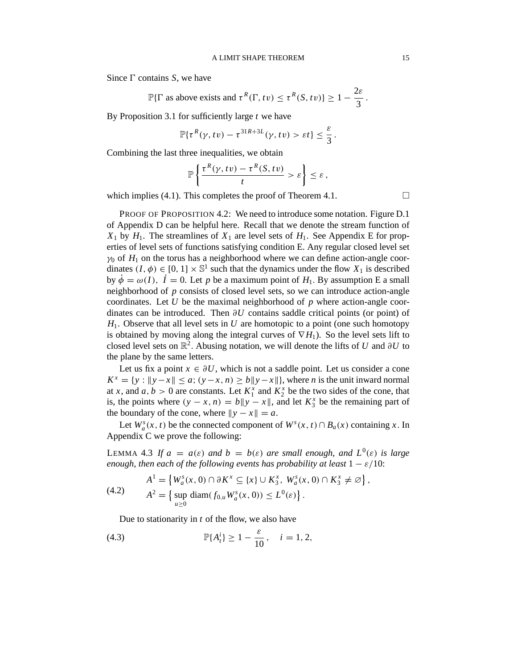Since  $\Gamma$  contains *S*, we have

$$
\mathbb{P}\{\Gamma \text{ as above exists and } \tau^R(\Gamma, tv) \leq \tau^R(S, tv)\} \geq 1 - \frac{2\varepsilon}{3}.
$$

By Proposition 3.1 for sufficiently large *t* we have

$$
\mathbb{P}\{\tau^R(\gamma, tv) - \tau^{31R+3L}(\gamma, tv) > \varepsilon t\} \leq \frac{\varepsilon}{3}.
$$

Combining the last three inequalities, we obtain

$$
\mathbb{P}\left\{\frac{\tau^R(\gamma,tv)-\tau^R(S,tv)}{t}>\varepsilon\right\}\leq\varepsilon,
$$

which implies (4.1). This completes the proof of Theorem 4.1.  $\Box$ 

PROOF OF PROPOSITION 4.2: We need to introduce some notation. Figure D.1 of Appendix D can be helpful here. Recall that we denote the stream function of  $X_1$  by  $H_1$ . The streamlines of  $X_1$  are level sets of  $H_1$ . See Appendix E for properties of level sets of functions satisfying condition E. Any regular closed level set  $\gamma_0$  of  $H_1$  on the torus has a neighborhood where we can define action-angle coordinates  $(I, \phi) \in [0, 1] \times \mathbb{S}^1$  such that the dynamics under the flow  $X_1$  is described by  $\dot{\phi} = \omega(I)$ ,  $\dot{I} = 0$ . Let *p* be a maximum point of  $H_1$ . By assumption E a small neighborhood of *p* consists of closed level sets, so we can introduce action-angle coordinates. Let *U* be the maximal neighborhood of *p* where action-angle coordinates can be introduced. Then ∂*U* contains saddle critical points (or point) of *H*1. Observe that all level sets in *U* are homotopic to a point (one such homotopy is obtained by moving along the integral curves of  $\nabla H_1$ ). So the level sets lift to closed level sets on  $\mathbb{R}^2$ . Abusing notation, we will denote the lifts of *U* and ∂*U* to the plane by the same letters.

Let us fix a point  $x \in \partial U$ , which is not a saddle point. Let us consider a cone  $K^x = \{y : ||y - x|| \le a; (y - x, n) \ge b||y - x||\}$ , where *n* is the unit inward normal at *x*, and *a*, *b* > 0 are constants. Let  $K_1^x$  and  $K_2^x$  be the two sides of the cone, that is, the points where  $(y - x, n) = b||y - x||$ , and let  $K_3^x$  be the remaining part of the boundary of the cone, where  $||y - x|| = a$ .

Let  $W_a^s(x, t)$  be the connected component of  $W^s(x, t) \cap B_a(x)$  containing *x*. In Appendix C we prove the following:

LEMMA 4.3 If  $a = a(\varepsilon)$  and  $b = b(\varepsilon)$  are small enough, and  $L^0(\varepsilon)$  is large *enough, then each of the following events has probability at least*  $1 - \varepsilon/10$ :

(4.2) 
$$
A^{1} = \{ W_{a}^{s}(x, 0) \cap \partial K^{x} \subseteq \{x\} \cup K_{3}^{x}, W_{a}^{s}(x, 0) \cap K_{3}^{x} \neq \emptyset \},\newline A^{2} = \{ \sup_{u \geq 0} \text{diam}(f_{0,u} W_{a}^{s}(x, 0)) \leq L^{0}(\varepsilon) \}.
$$

Due to stationarity in *t* of the flow, we also have

(4.3) 
$$
\mathbb{P}\{A_t^i\} \ge 1 - \frac{\varepsilon}{10}, \quad i = 1, 2,
$$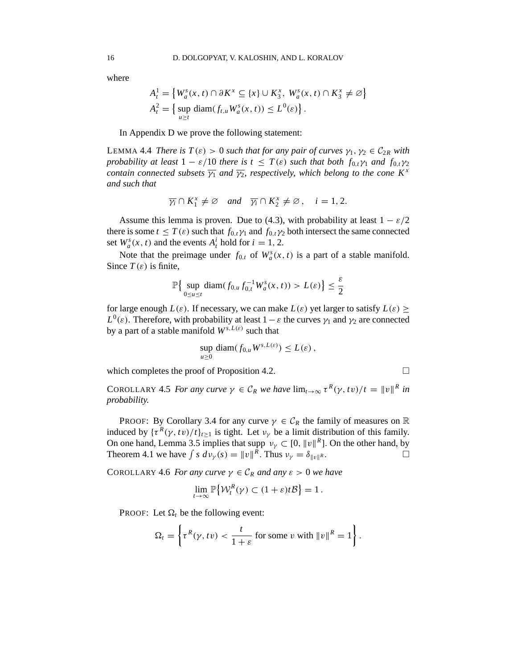where

$$
A_t^1 = \left\{ W_a^s(x, t) \cap \partial K^x \subseteq \{x\} \cup K_3^x, W_a^s(x, t) \cap K_3^x \neq \emptyset \right\}
$$
  

$$
A_t^2 = \left\{ \sup_{u \ge t} \text{diam}(f_{t,u} W_a^s(x, t)) \le L^0(\varepsilon) \right\}.
$$

In Appendix D we prove the following statement:

LEMMA 4.4 *There is*  $T(\varepsilon) > 0$  *such that for any pair of curves*  $\gamma_1, \gamma_2 \in C_{2R}$  *with probability at least*  $1 - \varepsilon/10$  *there is*  $t \leq T(\varepsilon)$  *such that both*  $f_{0,t}\gamma_1$  *and*  $f_{0,t}\gamma_2$ *contain connected subsets*  $\overline{y_1}$  *and*  $\overline{y_2}$ *, respectively, which belong to the cone*  $K^x$ *and such that*

$$
\overline{\gamma_i} \cap K_1^x \neq \emptyset \quad \text{and} \quad \overline{\gamma_i} \cap K_2^x \neq \emptyset, \quad i = 1, 2.
$$

Assume this lemma is proven. Due to (4.3), with probability at least  $1 - \varepsilon/2$ there is some  $t \leq T(\varepsilon)$  such that  $f_{0,t}\gamma_1$  and  $f_{0,t}\gamma_2$  both intersect the same connected set  $W_a^s(x, t)$  and the events  $A_t^i$  hold for  $i = 1, 2$ .

Note that the preimage under  $f_{0,t}$  of  $W_a^s(x, t)$  is a part of a stable manifold. Since  $T(\varepsilon)$  is finite,

$$
\mathbb{P}\big\{\sup_{0\leq u\leq t}\text{diam}(f_{0,u}f_{0,t}^{-1}W_a^s(x,t))>L(\varepsilon)\big\}\leq \frac{\varepsilon}{2}
$$

for large enough  $L(\varepsilon)$ . If necessary, we can make  $L(\varepsilon)$  yet larger to satisfy  $L(\varepsilon) \geq$ *L*<sup>0</sup>(ε). Therefore, with probability at least 1 − ε the curves  $γ_1$  and  $γ_2$  are connected by a part of a stable manifold  $W^{s,L(\varepsilon)}$  such that

$$
\sup_{u\geq 0} \text{diam}(f_{0,u}W^{s,L(\varepsilon)}) \leq L(\varepsilon),
$$

which completes the proof of Proposition 4.2.  $\Box$ 

COROLLARY 4.5 *For any curve*  $\gamma \in C_R$  *we have*  $\lim_{t\to\infty} \tau^R(\gamma, tv)/t = ||v||^R$  *in probability.*

PROOF: By Corollary 3.4 for any curve  $\gamma \in C_R$  the family of measures on R induced by  $\{\tau^R(\gamma, tv)/t\}_{t \ge 1}$  is tight. Let  $v_\gamma$  be a limit distribution of this family. On one hand, Lemma 3.5 implies that supp  $\nu_{\gamma} \subset [0, ||v||^R]$ . On the other hand, by Theorem 4.1 we have  $\int s \, dv_y(s) = ||v||^{\hat{R}}$ . Thus  $v_y = \delta_{||v||}$  $R$  .

COROLLARY 4.6 *For any curve*  $\gamma \in C_R$  *and any*  $\varepsilon > 0$  *we have* 

$$
\lim_{t\to\infty}\mathbb{P}\big\{\mathcal{W}_t^R(\gamma)\subset(1+\varepsilon)t\mathcal{B}\big\}=1.
$$

PROOF: Let  $\Omega_t$  be the following event:

$$
\Omega_t = \left\{ \tau^R(\gamma, tv) < \frac{t}{1+\varepsilon} \text{ for some } v \text{ with } ||v||^R = 1 \right\}.
$$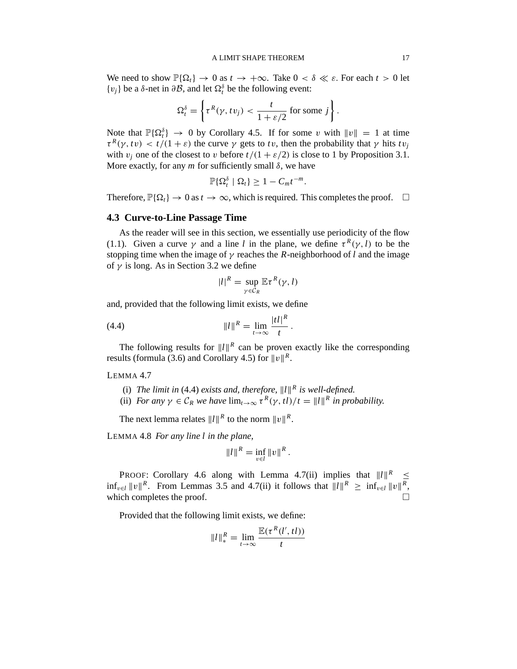#### A LIMIT SHAPE THEOREM 17

We need to show  $\mathbb{P}\{\Omega_t\} \to 0$  as  $t \to +\infty$ . Take  $0 < \delta \ll \varepsilon$ . For each  $t > 0$  let  ${v_j}$  be a δ-net in ∂*B*, and let  $\Omega_t$ <sup>δ</sup> be the following event:

$$
\Omega_t^{\delta} = \left\{ \tau^R(\gamma, tv_j) < \frac{t}{1 + \varepsilon/2} \text{ for some } j \right\}.
$$

Note that  $\mathbb{P}\{\Omega_t^{\delta}\} \to 0$  by Corollary 4.5. If for some v with  $||v|| = 1$  at time  $\tau^R(\gamma, t\nu) < t/(1+\varepsilon)$  the curve  $\gamma$  gets to *tv*, then the probability that  $\gamma$  hits  $t\nu_j$ with  $v_i$  one of the closest to v before  $t/(1 + \varepsilon/2)$  is close to 1 by Proposition 3.1. More exactly, for any  $m$  for sufficiently small  $\delta$ , we have

$$
\mathbb{P}\{\Omega_t^{\delta} \mid \Omega_t\} \geq 1 - C_m t^{-m}.
$$

Therefore,  $\mathbb{P}\{\Omega_t\} \to 0$  as  $t \to \infty$ , which is required. This completes the proof.  $\Box$ 

#### **4.3 Curve-to-Line Passage Time**

As the reader will see in this section, we essentially use periodicity of the flow (1.1). Given a curve  $\gamma$  and a line *l* in the plane, we define  $\tau^R(\gamma, l)$  to be the stopping time when the image of  $\gamma$  reaches the *R*-neighborhood of *l* and the image of  $\gamma$  is long. As in Section 3.2 we define

$$
|l|^R = \sup_{\gamma \in C_R} \mathbb{E} \tau^R(\gamma, l)
$$

and, provided that the following limit exists, we define

(4.4) 
$$
||l||^{R} = \lim_{t \to \infty} \frac{|t l|^{R}}{t}
$$

The following results for  $||l||^R$  can be proven exactly like the corresponding results (formula (3.6) and Corollary 4.5) for  $||v||^R$ .

.

#### LEMMA 4.7

- (i) The limit in (4.4) exists and, therefore,  $||l||^R$  is well-defined.
- (ii) *For any*  $\gamma \in C_R$  *we have*  $\lim_{t \to \infty} \tau^R(\gamma, t)/t = ||t||^R$  *in probability.*

The next lemma relates  $||l||^R$  to the norm  $||v||^R$ .

LEMMA 4.8 *For any line l in the plane,*

$$
||l||^{R} = \inf_{v \in l} ||v||^{R}.
$$

PROOF: Corollary 4.6 along with Lemma 4.7(ii) implies that  $||l||^R \leq$  $\inf_{v \in l} ||v||^R$ . From Lemmas 3.5 and 4.7(ii) it follows that  $||l||^R \geq \inf_{v \in l} ||v||^R$ , which completes the proof.

Provided that the following limit exists, we define:

$$
||l||_*^R = \lim_{t \to \infty} \frac{\mathbb{E}(\tau^R(l', tl))}{t}
$$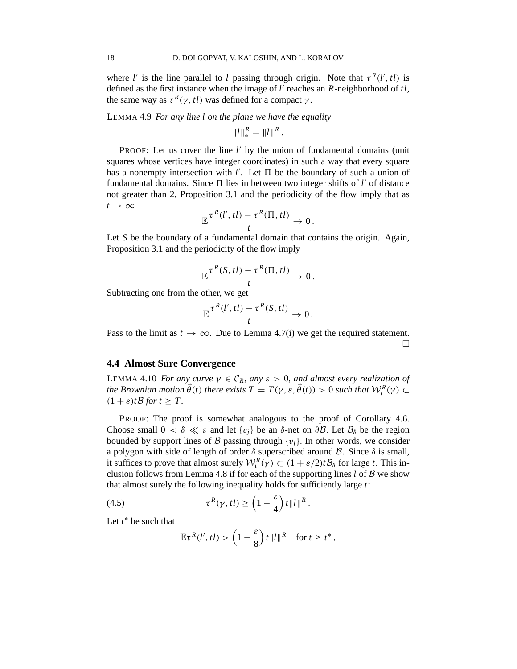where *l'* is the line parallel to *l* passing through origin. Note that  $\tau^R(l', t)$  is defined as the first instance when the image of *l* ′ reaches an *R*-neighborhood of *tl*, the same way as  $\tau^R(\gamma, t)$  was defined for a compact  $\gamma$ .

LEMMA 4.9 *For any line l on the plane we have the equality*

 $||l||_*^R = ||l||^R$ .

PROOF: Let us cover the line *l'* by the union of fundamental domains (unit squares whose vertices have integer coordinates) in such a way that every square has a nonempty intersection with  $l'$ . Let  $\Pi$  be the boundary of such a union of fundamental domains. Since  $\Pi$  lies in between two integer shifts of  $l'$  of distance not greater than 2, Proposition 3.1 and the periodicity of the flow imply that as  $t \rightarrow \infty$ 

$$
\mathbb{E}\frac{\tau^R(l',t) - \tau^R(\Pi, t l)}{t} \to 0.
$$

Let *S* be the boundary of a fundamental domain that contains the origin. Again, Proposition 3.1 and the periodicity of the flow imply

$$
\mathbb{E}\frac{\tau^R(S, tI) - \tau^R(\Pi, tI)}{t} \to 0.
$$

Subtracting one from the other, we get

$$
\mathbb{E}\frac{\tau^R(l',t l)-\tau^R(S,t l)}{t}\to 0.
$$

Pass to the limit as  $t \to \infty$ . Due to Lemma 4.7(i) we get the required statement.  $\Box$ 

## **4.4 Almost Sure Convergence**

LEMMA 4.10 *For any curve*  $\gamma \in C_R$ *, any*  $\varepsilon > 0$ *, and almost every realization of the Brownian motion*  $\vec{\theta}(t)$  *there exists*  $T = T(\gamma, \varepsilon, \vec{\theta}(t)) > 0$  *such that*  $\mathcal{W}_t^R(\gamma) \subset$  $(1 + \varepsilon)t\mathcal{B}$  *for*  $t > T$ .

PROOF: The proof is somewhat analogous to the proof of Corollary 4.6. Choose small  $0 < \delta \ll \varepsilon$  and let  $\{v_i\}$  be an  $\delta$ -net on  $\partial \mathcal{B}$ . Let  $\mathcal{B}_\delta$  be the region bounded by support lines of  $\beta$  passing through  $\{v_i\}$ . In other words, we consider a polygon with side of length of order  $\delta$  superscribed around  $\beta$ . Since  $\delta$  is small, it suffices to prove that almost surely  $W_t^R(\gamma) \subset (1 + \varepsilon/2)tB_\delta$  for large *t*. This inclusion follows from Lemma 4.8 if for each of the supporting lines  $l$  of  $\beta$  we show that almost surely the following inequality holds for sufficiently large *t*:

(4.5) 
$$
\tau^{R}(\gamma, tl) \geq \left(1 - \frac{\varepsilon}{4}\right) t \|l\|^{R}.
$$

Let *t* <sup>∗</sup> be such that

$$
\mathbb{E}\tau^{R}(l', t l) > \left(1 - \frac{\varepsilon}{8}\right) t \|l\|^{R} \text{ for } t \geq t^{*},
$$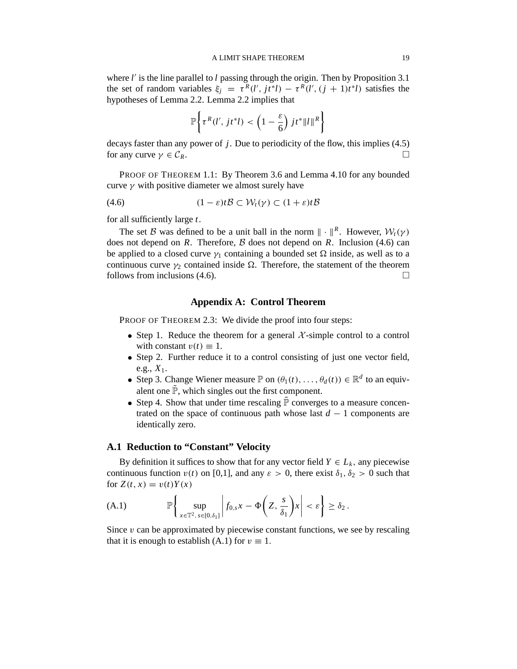where *l'* is the line parallel to *l* passing through the origin. Then by Proposition 3.1 the set of random variables  $\xi_j = \tau^R(l', j t^* l) - \tau^R(l', (j + 1) t^* l)$  satisfies the hypotheses of Lemma 2.2. Lemma 2.2 implies that

$$
\mathbb{P}\left\{\tau^R(l',\,jt^*l) < \left(1-\frac{\varepsilon}{6}\right)jt^*\|l\|^R\right\}
$$

decays faster than any power of *j*. Due to periodicity of the flow, this implies (4.5) for any curve  $\gamma \in \mathcal{C}_R$ .

PROOF OF THEOREM 1.1: By Theorem 3.6 and Lemma 4.10 for any bounded curve  $\gamma$  with positive diameter we almost surely have

$$
(4.6) \qquad \qquad (1-\varepsilon)t\mathcal{B} \subset \mathcal{W}_t(\gamma) \subset (1+\varepsilon)t\mathcal{B}
$$

for all sufficiently large *t*.

The set B was defined to be a unit ball in the norm  $\| \cdot \|^{R}$ . However,  $W_{t}(\gamma)$ does not depend on  $R$ . Therefore,  $\beta$  does not depend on  $R$ . Inclusion (4.6) can be applied to a closed curve  $\gamma_1$  containing a bounded set  $\Omega$  inside, as well as to a continuous curve  $\gamma_2$  contained inside  $\Omega$ . Therefore, the statement of the theorem follows from inclusions (4.6).  $\Box$ 

# **Appendix A: Control Theorem**

PROOF OF THEOREM 2.3: We divide the proof into four steps:

- Step 1. Reduce the theorem for a general  $\mathcal{X}$ -simple control to a control with constant  $v(t) \equiv 1$ .
- Step 2. Further reduce it to a control consisting of just one vector field, e.g.,  $X_1$ .
- Step 3. Change Wiener measure  $\mathbb{P}$  on  $(\theta_1(t), \dots, \theta_d(t)) \in \mathbb{R}^d$  to an equivalent one  $\tilde{\mathbb{P}}$ , which singles out the first component.
- Step 4. Show that under time rescaling  $\tilde{P}$  converges to a measure concentrated on the space of continuous path whose last  $d - 1$  components are identically zero.

# **A.1 Reduction to "Constant" Velocity**

By definition it suffices to show that for any vector field  $Y \in L_k$ , any piecewise continuous function  $v(t)$  on [0,1], and any  $\varepsilon > 0$ , there exist  $\delta_1, \delta_2 > 0$  such that for  $Z(t, x) = v(t)Y(x)$ 

(A.1) 
$$
\mathbb{P}\left\{\sup_{x\in\mathbb{T}^2,\,s\in[0,\delta_1]}\left|f_{0,s}x-\Phi\left(Z,\frac{s}{\delta_1}\right)x\right|<\varepsilon\right\}\geq\delta_2.
$$

Since  $v$  can be approximated by piecewise constant functions, we see by rescaling that it is enough to establish (A.1) for  $v \equiv 1$ .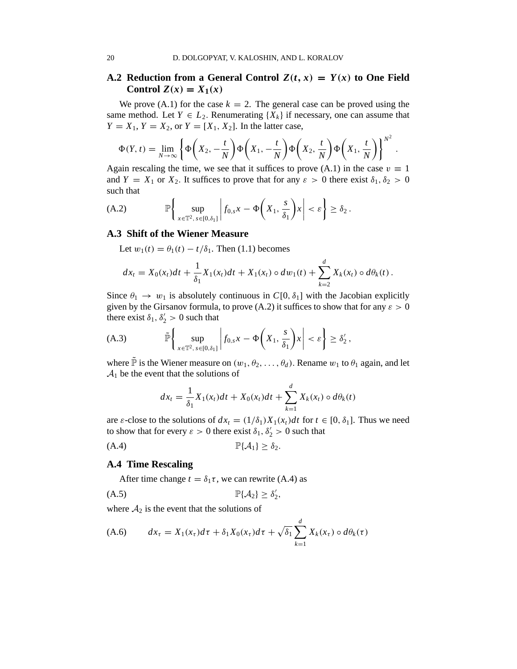# **A.2 Reduction from a General Control**  $Z(t, x) = Y(x)$  **to One Field** Control  $Z(x) = X_1(x)$

We prove (A.1) for the case  $k = 2$ . The general case can be proved using the same method. Let  $Y \in L_2$ . Renumerating  $\{X_k\}$  if necessary, one can assume that  $Y = X_1, Y = X_2$ , or  $Y = [X_1, X_2]$ . In the latter case,

$$
\Phi(Y,t) = \lim_{N \to \infty} \left\{ \Phi\left(X_2, -\frac{t}{N}\right) \Phi\left(X_1, -\frac{t}{N}\right) \Phi\left(X_2, \frac{t}{N}\right) \Phi\left(X_1, \frac{t}{N}\right) \right\}^{N^2}.
$$

Again rescaling the time, we see that it suffices to prove (A.1) in the case  $v \equiv 1$ and  $Y = X_1$  or  $X_2$ . It suffices to prove that for any  $\varepsilon > 0$  there exist  $\delta_1, \delta_2 > 0$ such that

(A.2) 
$$
\mathbb{P}\left\{\sup_{x\in\mathbb{T}^2,\,s\in[0,\delta_1]}\left|f_{0,s}x-\Phi\left(X_1,\frac{s}{\delta_1}\right)x\right|<\varepsilon\right\}\geq\delta_2.
$$

#### **A.3 Shift of the Wiener Measure**

Let  $w_1(t) = \theta_1(t) - t/\delta_1$ . Then (1.1) becomes

$$
dx_t = X_0(x_t)dt + \frac{1}{\delta_1}X_1(x_t)dt + X_1(x_t) \circ dw_1(t) + \sum_{k=2}^d X_k(x_t) \circ d\theta_k(t).
$$

Since  $\theta_1 \rightarrow w_1$  is absolutely continuous in  $C[0, \delta_1]$  with the Jacobian explicitly given by the Girsanov formula, to prove (A.2) it suffices to show that for any  $\varepsilon > 0$ there exist  $\delta_1, \delta_2' > 0$  such that

(A.3) 
$$
\widetilde{\mathbb{P}}\left\{\sup_{x\in\mathbb{T}^2,\,s\in[0,\delta_1]}\left|f_{0,s}x-\Phi\left(X_1,\frac{s}{\delta_1}\right)x\right|<\varepsilon\right\}\geq\delta_2',
$$

where  $\tilde{\mathbb{P}}$  is the Wiener measure on  $(w_1, \theta_2, \dots, \theta_d)$ . Rename  $w_1$  to  $\theta_1$  again, and let  $A_1$  be the event that the solutions of

$$
dx_t = \frac{1}{\delta_1} X_1(x_t) dt + X_0(x_t) dt + \sum_{k=1}^d X_k(x_t) \circ d\theta_k(t)
$$

are  $\varepsilon$ -close to the solutions of  $dx_t = (1/\delta_1)X_1(x_t)dt$  for  $t \in [0, \delta_1]$ . Thus we need to show that for every  $\varepsilon > 0$  there exist  $\delta_1, \delta'_2 > 0$  such that

(A.4) <sup>P</sup>{A1} ≥ <sup>δ</sup>2.

# **A.4 Time Rescaling**

After time change  $t = \delta_1 \tau$ , we can rewrite (A.4) as

(A.5) <sup>P</sup>{A2} ≥ <sup>δ</sup> ′ 2 ,

where  $A_2$  is the event that the solutions of

(A.6) 
$$
dx_{\tau} = X_1(x_{\tau})d\tau + \delta_1 X_0(x_{\tau})d\tau + \sqrt{\delta_1} \sum_{k=1}^d X_k(x_{\tau}) \circ d\theta_k(\tau)
$$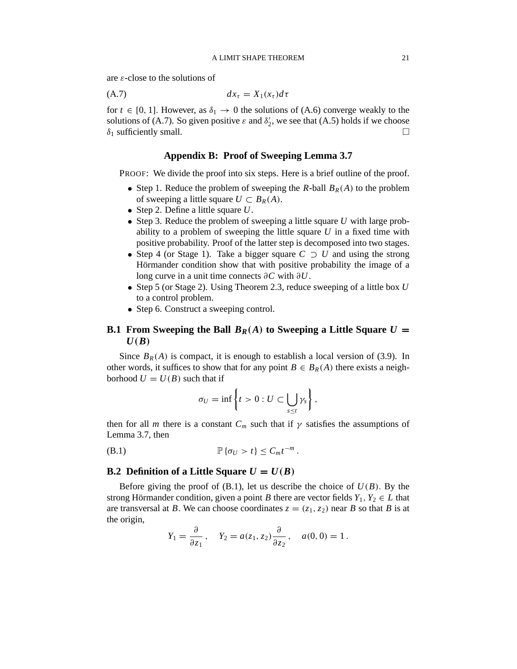are  $\varepsilon$ -close to the solutions of

$$
(A.7) \t\t dx_{\tau} = X_1(x_{\tau})d\tau
$$

for  $t \in [0, 1]$ . However, as  $\delta_1 \rightarrow 0$  the solutions of (A.6) converge weakly to the solutions of (A.7). So given positive  $\varepsilon$  and  $\delta'_{2}$ , we see that (A.5) holds if we choose  $\delta_1$  sufficiently small.

# **Appendix B: Proof of Sweeping Lemma 3.7**

PROOF: We divide the proof into six steps. Here is a brief outline of the proof.

- Step 1. Reduce the problem of sweeping the *R*-ball  $B_R(A)$  to the problem of sweeping a little square  $U \subset B_R(A)$ .
- Step 2. Define a little square *U*.
- Step 3. Reduce the problem of sweeping a little square *U* with large probability to a problem of sweeping the little square *U* in a fixed time with positive probability. Proof of the latter step is decomposed into two stages.
- Step 4 (or Stage 1). Take a bigger square *C* ⊃ *U* and using the strong Hörmander condition show that with positive probability the image of a long curve in a unit time connects ∂*C* with ∂*U*.
- Step 5 (or Stage 2). Using Theorem 2.3, reduce sweeping of a little box *U* to a control problem.
- Step 6. Construct a sweeping control.

# **B.1 From Sweeping the Ball**  $B_R(A)$  to Sweeping a Little Square  $U =$  $U(B)$

Since  $B_R(A)$  is compact, it is enough to establish a local version of (3.9). In other words, it suffices to show that for any point  $B \in B_R(A)$  there exists a neighborhood  $U = U(B)$  such that if

$$
\sigma_U=\inf\left\{t>0: U\subset \bigcup_{s\leq t}\gamma_s\right\},\
$$

then for all *m* there is a constant  $C_m$  such that if  $\gamma$  satisfies the assumptions of Lemma 3.7, then

(B.1)  $\mathbb{P}\{\sigma_U > t\} \le C_m t^{-m}$ .

# **B.2 Definition of a Little Square**  $U = U(B)$

Before giving the proof of  $(B.1)$ , let us describe the choice of  $U(B)$ . By the strong Hörmander condition, given a point *B* there are vector fields  $Y_1, Y_2 \in L$  that are transversal at *B*. We can choose coordinates  $z = (z_1, z_2)$  near *B* so that *B* is at the origin,

$$
Y_1 = \frac{\partial}{\partial z_1}
$$
,  $Y_2 = a(z_1, z_2) \frac{\partial}{\partial z_2}$ ,  $a(0, 0) = 1$ .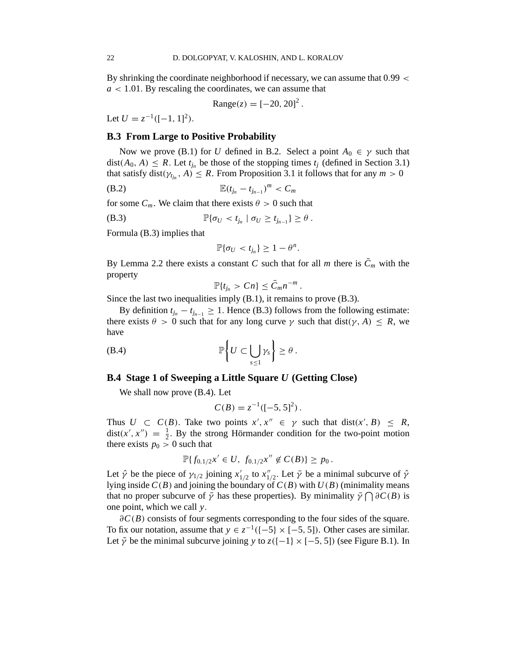By shrinking the coordinate neighborhood if necessary, we can assume that 0.99 <  $a < 1.01$ . By rescaling the coordinates, we can assume that

Range
$$
(z) = [-20, 20]^2
$$
.

Let  $U = z^{-1}([-1, 1]^2)$ .

# **B.3 From Large to Positive Probability**

Now we prove (B.1) for *U* defined in B.2. Select a point  $A_0 \in \gamma$  such that dist( $A_0$ ,  $A$ )  $\leq R$ . Let  $t_{j_n}$  be those of the stopping times  $t_j$  (defined in Section 3.1) that satisfy  $dist(\gamma_{t_{j_n}}, A) \leq R$ . From Proposition 3.1 it follows that for any  $m > 0$ 

(B.2) 
$$
\mathbb{E}(t_{j_n} - t_{j_{n-1}})^m < C_m
$$

for some  $C_m$ . We claim that there exists  $\theta > 0$  such that

(B.3) 
$$
\mathbb{P}\{\sigma_U < t_{j_n} \mid \sigma_U \geq t_{j_{n-1}}\} \geq \theta.
$$

Formula (B.3) implies that

$$
\mathbb{P}\{\sigma_U < t_{j_n}\} \geq 1 - \theta^n.
$$

By Lemma 2.2 there exists a constant *C* such that for all *m* there is  $C_m$  with the property

$$
\mathbb{P}\{t_{j_n} > Cn\} \leq \bar{C}_m n^{-m}
$$

.

Since the last two inequalities imply (B.1), it remains to prove (B.3).

By definition  $t_{j_n} - t_{j_{n-1}} \geq 1$ . Hence (B.3) follows from the following estimate: there exists  $\theta > 0$  such that for any long curve  $\gamma$  such that dist( $\gamma$ , A)  $\leq R$ , we have

(B.4) 
$$
\mathbb{P}\bigg\{U\subset \bigcup_{s\leq 1}\gamma_s\bigg\}\geq \theta.
$$

### **B.4 Stage 1 of Sweeping a Little Square** *U* **(Getting Close)**

We shall now prove (B.4). Let

$$
C(B) = z^{-1}([-5, 5]^2).
$$

Thus  $U \subset C(B)$ . Take two points  $x', x'' \in \gamma$  such that dist( $x', B \leq R$ ,  $dist(x', x'') = \frac{1}{2}$  $\frac{1}{2}$ . By the strong Hörmander condition for the two-point motion there exists  $p_0 > 0$  such that

$$
\mathbb{P}\{f_{0,1/2}x' \in U, f_{0,1/2}x'' \notin C(B)\} \geq p_0.
$$

Let  $\hat{\gamma}$  be the piece of  $\gamma_{1/2}$  joining  $x'_{1/2}$  to  $x''_{1/2}$ . Let  $\bar{\gamma}$  be a minimal subcurve of  $\hat{\gamma}$ lying inside  $C(B)$  and joining the boundary of  $C(B)$  with  $U(B)$  (minimality means that no proper subcurve of  $\bar{\gamma}$  has these properties). By minimality  $\bar{\gamma} \cap \partial C(B)$  is one point, which we call *y*.

∂*C*(*B*) consists of four segments corresponding to the four sides of the square. To fix our notation, assume that  $y \in z^{-1}([-5] \times [-5, 5])$ . Other cases are similar. Let  $\tilde{\gamma}$  be the minimal subcurve joining *y* to  $z([-1] \times [-5, 5])$  (see Figure B.1). In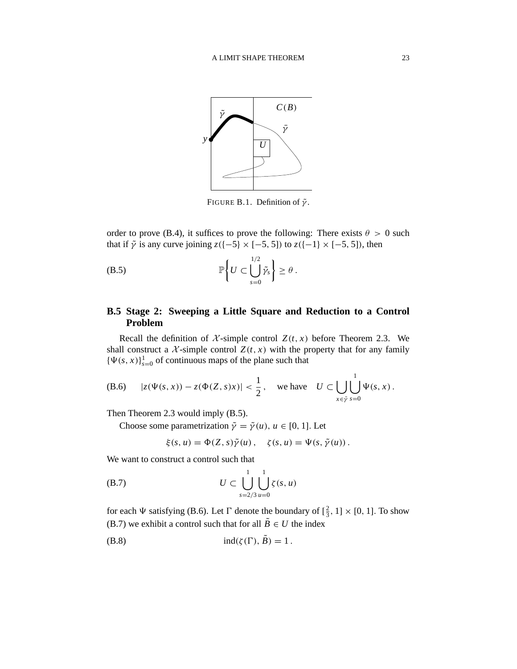

FIGURE B.1. Definition of  $\tilde{\gamma}$ .

order to prove (B.4), it suffices to prove the following: There exists  $\theta > 0$  such that if  $\tilde{\gamma}$  is any curve joining  $z([-5] \times [-5, 5])$  to  $z([-1] \times [-5, 5])$ , then

(B.5) 
$$
\mathbb{P}\left\{U \subset \bigcup_{s=0}^{1/2} \tilde{\gamma}_s\right\} \geq \theta.
$$

# **B.5 Stage 2: Sweeping a Little Square and Reduction to a Control Problem**

Recall the definition of  $\mathcal{X}$ -simple control  $Z(t, x)$  before Theorem 2.3. We shall construct a  $\mathcal{X}$ -simple control  $Z(t, x)$  with the property that for any family  ${\Psi(s, x)}_{s=0}^1$  of continuous maps of the plane such that

(B.6) 
$$
|z(\Psi(s,x)) - z(\Phi(Z,s)x)| < \frac{1}{2}, \text{ we have } U \subset \bigcup_{x \in \tilde{\gamma}} \bigcup_{s=0}^{1} \Psi(s,x).
$$

Then Theorem 2.3 would imply (B.5).

Choose some parametrization  $\tilde{\gamma} = \tilde{\gamma}(u)$ ,  $u \in [0, 1]$ . Let

$$
\xi(s, u) = \Phi(Z, s)\tilde{\gamma}(u), \quad \zeta(s, u) = \Psi(s, \tilde{\gamma}(u)).
$$

We want to construct a control such that

(B.7) 
$$
U \subset \bigcup_{s=2/3}^{1} \bigcup_{u=0}^{1} \zeta(s, u)
$$

for each  $\Psi$  satisfying (B.6). Let  $\Gamma$  denote the boundary of  $\left[\frac{2}{3}\right]$  $\frac{2}{3}$ , 1] × [0, 1]. To show (B.7) we exhibit a control such that for all  $\tilde{B} \in U$  the index

(B.8) ind(ζ (Ŵ), *B*˜) = 1 .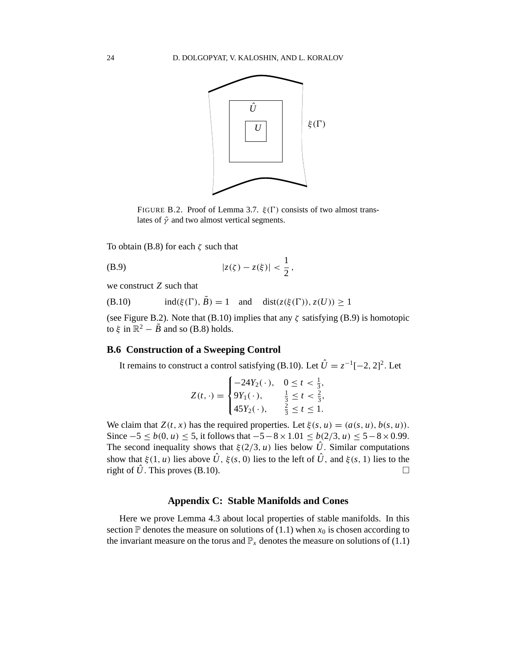

FIGURE B.2. Proof of Lemma 3.7.  $\xi(\Gamma)$  consists of two almost translates of  $\tilde{\gamma}$  and two almost vertical segments.

To obtain (B.8) for each  $\zeta$  such that

(B.9) 
$$
|z(\zeta) - z(\xi)| < \frac{1}{2},
$$

we construct *Z* such that

(B.10) 
$$
\text{ind}(\xi(\Gamma), B) = 1 \quad \text{and} \quad \text{dist}(z(\xi(\Gamma)), z(U)) \ge 1
$$

(see Figure B.2). Note that (B.10) implies that any  $\zeta$  satisfying (B.9) is homotopic to  $\xi$  in  $\mathbb{R}^2 - \tilde{B}$  and so (B.8) holds.

# **B.6 Construction of a Sweeping Control**

It remains to construct a control satisfying (B.10). Let  $\hat{U} = z^{-1}[-2, 2]^2$ . Let

$$
Z(t, \cdot) = \begin{cases} -24Y_2(\cdot), & 0 \le t < \frac{1}{3}, \\ 9Y_1(\cdot), & \frac{1}{3} \le t < \frac{2}{3}, \\ 45Y_2(\cdot), & \frac{2}{3} \le t \le 1. \end{cases}
$$

We claim that  $Z(t, x)$  has the required properties. Let  $\xi(s, u) = (a(s, u), b(s, u))$ . Since  $-5 \le b(0, u) \le 5$ , it follows that  $-5-8 \times 1.01 \le b(2/3, u) \le 5-8 \times 0.99$ . The second inequality shows that  $\xi(2/3, u)$  lies below  $\hat{U}$ . Similar computations show that  $\xi(1, u)$  lies above  $\hat{U}$ ,  $\xi(s, 0)$  lies to the left of  $\hat{U}$ , and  $\xi(s, 1)$  lies to the right of  $\hat{U}$ . This proves (B.10).

# **Appendix C: Stable Manifolds and Cones**

Here we prove Lemma 4.3 about local properties of stable manifolds. In this section  $\mathbb P$  denotes the measure on solutions of (1.1) when  $x_0$  is chosen according to the invariant measure on the torus and  $\mathbb{P}_x$  denotes the measure on solutions of (1.1)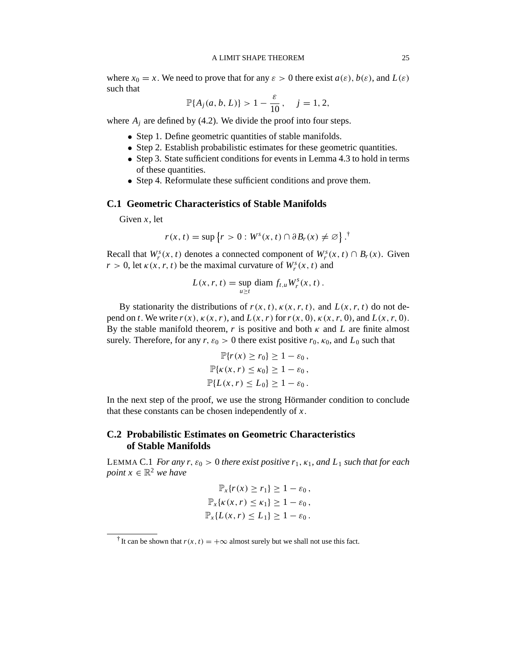where  $x_0 = x$ . We need to prove that for any  $\varepsilon > 0$  there exist  $a(\varepsilon)$ ,  $b(\varepsilon)$ , and  $L(\varepsilon)$ such that

$$
\mathbb{P}\{A_j(a, b, L)\} > 1 - \frac{\varepsilon}{10}, \quad j = 1, 2,
$$

where  $A_i$  are defined by (4.2). We divide the proof into four steps.

- Step 1. Define geometric quantities of stable manifolds.
- Step 2. Establish probabilistic estimates for these geometric quantities.
- Step 3. State sufficient conditions for events in Lemma 4.3 to hold in terms of these quantities.
- Step 4. Reformulate these sufficient conditions and prove them.

# **C.1 Geometric Characteristics of Stable Manifolds**

Given *x*, let

$$
r(x, t) = \sup \{ r > 0 : W^s(x, t) \cap \partial B_r(x) \neq \emptyset \}.
$$
<sup>†</sup>

Recall that  $W_r^s(x, t)$  denotes a connected component of  $W_r^s(x, t) \cap B_r(x)$ . Given  $r > 0$ , let  $\kappa(x, r, t)$  be the maximal curvature of  $W_r^s(x, t)$  and

$$
L(x, r, t) = \sup_{u \ge t} \operatorname{diam} f_{t,u} W_r^s(x, t).
$$

By stationarity the distributions of  $r(x, t)$ ,  $\kappa(x, r, t)$ , and  $L(x, r, t)$  do not depend on *t*. We write  $r(x)$ ,  $\kappa(x, r)$ , and  $L(x, r)$  for  $r(x, 0)$ ,  $\kappa(x, r, 0)$ , and  $L(x, r, 0)$ . By the stable manifold theorem,  $r$  is positive and both  $\kappa$  and  $L$  are finite almost surely. Therefore, for any  $r, \varepsilon_0 > 0$  there exist positive  $r_0, \kappa_0$ , and  $L_0$  such that

$$
\mathbb{P}\{r(x) \ge r_0\} \ge 1 - \varepsilon_0,
$$
  

$$
\mathbb{P}\{\kappa(x, r) \le \kappa_0\} \ge 1 - \varepsilon_0,
$$
  

$$
\mathbb{P}\{L(x, r) \le L_0\} \ge 1 - \varepsilon_0.
$$

In the next step of the proof, we use the strong Hörmander condition to conclude that these constants can be chosen independently of *x*.

# **C.2 Probabilistic Estimates on Geometric Characteristics of Stable Manifolds**

LEMMA C.1 *For any r,*  $\varepsilon_0 > 0$  *there exist positive r<sub>1</sub>,*  $\kappa_1$ *, and L<sub>1</sub> such that for each point*  $x \in \mathbb{R}^2$  *we have* 

$$
\mathbb{P}_x\{r(x) \ge r_1\} \ge 1 - \varepsilon_0,
$$
  

$$
\mathbb{P}_x\{\kappa(x, r) \le \kappa_1\} \ge 1 - \varepsilon_0,
$$
  

$$
\mathbb{P}_x\{L(x, r) \le L_1\} \ge 1 - \varepsilon_0.
$$

<sup>&</sup>lt;sup>†</sup> It can be shown that  $r(x, t) = +\infty$  almost surely but we shall not use this fact.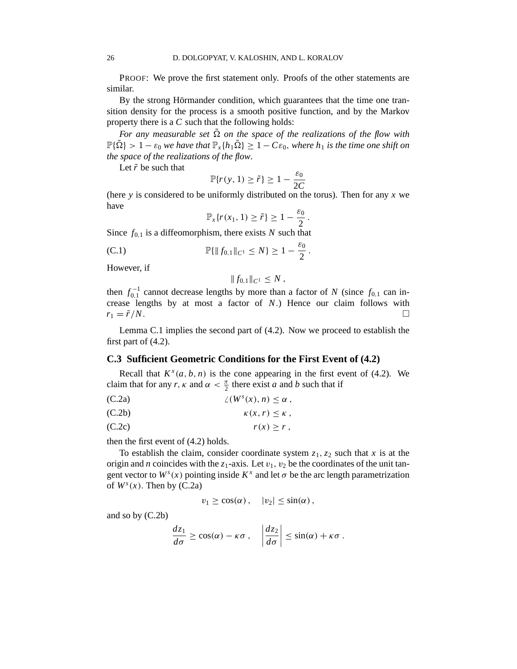PROOF: We prove the first statement only. Proofs of the other statements are similar.

By the strong Hörmander condition, which guarantees that the time one transition density for the process is a smooth positive function, and by the Markov property there is a *C* such that the following holds:

*For any measurable set*  $\tilde{\Omega}$  *on the space of the realizations of the flow with*  $\mathbb{P}\{\tilde{\Omega}\} > 1 - \varepsilon_0$  *we have that*  $\mathbb{P}_x\{h_1\tilde{\Omega}\} \ge 1 - C\varepsilon_0$ *, where h<sub>1</sub> is the time one shift on the space of the realizations of the flow*.

Let  $\tilde{r}$  be such that

$$
\mathbb{P}\{r(y, 1) \ge \tilde{r}\} \ge 1 - \frac{\varepsilon_0}{2C}
$$

(here *y* is considered to be uniformly distributed on the torus). Then for any *x* we have

$$
\mathbb{P}_x\{r(x_1, 1) \geq \tilde{r}\} \geq 1 - \frac{\varepsilon_0}{2}.
$$

Since  $f_{0,1}$  is a diffeomorphism, there exists *N* such that

(C.1) 
$$
\mathbb{P}\{\|f_{0,1}\|_{C^1} \leq N\} \geq 1 - \frac{\varepsilon_0}{2}.
$$

However, if

$$
||f_{0,1}||_{C^1}\leq N\,,
$$

then  $f_{0,1}^{-1}$  cannot decrease lengths by more than a factor of *N* (since  $f_{0,1}$  can increase lengths by at most a factor of *N*.) Hence our claim follows with  $r_1 = \tilde{r}/N$ .

Lemma C.1 implies the second part of (4.2). Now we proceed to establish the first part of (4.2).

## **C.3 Sufficient Geometric Conditions for the First Event of (4.2)**

Recall that  $K^x(a, b, n)$  is the cone appearing in the first event of (4.2). We claim that for any *r*,  $\kappa$  and  $\alpha < \frac{\pi}{2}$  there exist *a* and *b* such that if

(C.2a) 
$$
\angle(W^s(x),n) \leq \alpha,
$$

$$
\kappa(x,r) \leq \kappa \,,
$$

$$
(C.2c) \t\t\t\t\t r(x) \geq r,
$$

then the first event of (4.2) holds.

To establish the claim, consider coordinate system  $z_1$ ,  $z_2$  such that *x* is at the origin and *n* coincides with the  $z_1$ -axis. Let  $v_1$ ,  $v_2$  be the coordinates of the unit tangent vector to  $W<sup>s</sup>(x)$  pointing inside  $K<sup>x</sup>$  and let  $\sigma$  be the arc length parametrization of  $W^s(x)$ . Then by (C.2a)

$$
v_1 \geq \cos(\alpha) , \quad |v_2| \leq \sin(\alpha) ,
$$

and so by (C.2b)

$$
\frac{dz_1}{d\sigma} \ge \cos(\alpha) - \kappa \sigma \,, \quad \left| \frac{dz_2}{d\sigma} \right| \le \sin(\alpha) + \kappa \sigma \,.
$$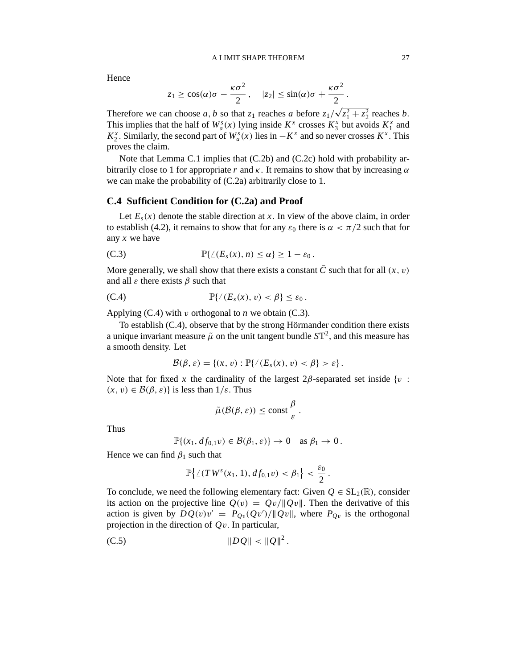Hence

$$
z_1 \ge \cos(\alpha)\sigma - \frac{\kappa \sigma^2}{2}
$$
,  $|z_2| \le \sin(\alpha)\sigma + \frac{\kappa \sigma^2}{2}$ .

Therefore we can choose *a*, *b* so that  $z_1$  reaches *a* before  $z_1/\sqrt{z_1^2 + z_2^2}$  reaches *b*. This implies that the half of  $W_a^s(x)$  lying inside  $K^x$  crosses  $K_3^x$  but avoids  $K_1^x$  and *K*<sup>*x*</sup>. Similarly, the second part of *W*<sub>*a*</sub><sup>*a*</sup>(*x*) lies in −*K*<sup>*x*</sup> and so never crosses *K*<sup>*x*</sup>. This proves the claim.

Note that Lemma C.1 implies that (C.2b) and (C.2c) hold with probability arbitrarily close to 1 for appropriate *r* and  $\kappa$ . It remains to show that by increasing  $\alpha$ we can make the probability of (C.2a) arbitrarily close to 1.

# **C.4 Sufficient Condition for (C.2a) and Proof**

Let  $E_s(x)$  denote the stable direction at *x*. In view of the above claim, in order to establish (4.2), it remains to show that for any  $\varepsilon_0$  there is  $\alpha < \pi/2$  such that for any *x* we have

(C.3) 
$$
\mathbb{P}\{\angle(E_s(x),n)\leq\alpha\}\geq 1-\varepsilon_0.
$$

More generally, we shall show that there exists a constant  $\overline{C}$  such that for all  $(x, v)$ and all  $\varepsilon$  there exists  $\beta$  such that

(C.4) 
$$
\mathbb{P}\{\angle(E_s(x),v)<\beta\}\leq\varepsilon_0.
$$

Applying  $(C.4)$  with v orthogonal to *n* we obtain  $(C.3)$ .

To establish (C.4), observe that by the strong Hörmander condition there exists a unique invariant measure  $\tilde{\mu}$  on the unit tangent bundle  $ST^2$ , and this measure has a smooth density. Let

$$
\mathcal{B}(\beta,\varepsilon)=\{(x,v): \mathbb{P}\{\angle(E_s(x),v)<\beta\}>\varepsilon\}.
$$

Note that for fixed x the cardinality of the largest  $2\beta$ -separated set inside {v:  $(x, v) \in \mathcal{B}(\beta, \varepsilon)$  is less than  $1/\varepsilon$ . Thus

$$
\tilde{\mu}(\mathcal{B}(\beta,\varepsilon)) \leq \text{const}\,\frac{\beta}{\varepsilon}\,.
$$

Thus

$$
\mathbb{P}\{(x_1, df_{0,1}v) \in \mathcal{B}(\beta_1, \varepsilon)\} \to 0 \quad \text{as } \beta_1 \to 0.
$$

Hence we can find  $\beta_1$  such that

$$
\mathbb{P}\big\{\angle(TW^s(x_1, 1), df_{0,1}v) < \beta_1\big\} < \frac{\varepsilon_0}{2}.
$$

To conclude, we need the following elementary fact: Given  $Q \in SL_2(\mathbb{R})$ , consider its action on the projective line  $Q(v) = Qv/||Qv||$ . Then the derivative of this action is given by  $DQ(v)v' = P_{Qv}(Qv')/||Qv||$ , where  $P_{Qv}$  is the orthogonal projection in the direction of *Q*v. In particular,

(C.5) 
$$
\|DQ\| < \|Q\|^2.
$$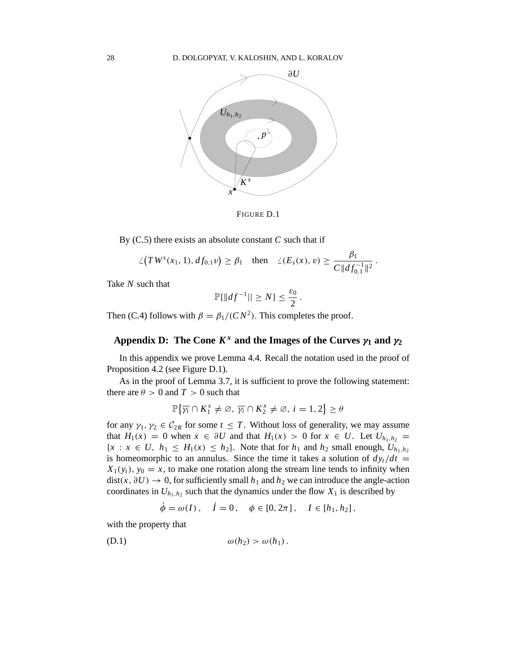

FIGURE D.1

By (C.5) there exists an absolute constant *C* such that if

$$
\angle(T W^s(x_1, 1), df_{0,1}v) \geq \beta_1 \quad \text{then} \quad \angle(E_s(x), v) \geq \frac{\beta_1}{C \|df_{0,1}^{-1}\|^2}.
$$

Take *N* such that

$$
\mathbb{P}\{\|df^{-1}\|\geq N\}\leq \frac{\varepsilon_0}{2}
$$

.

Then (C.4) follows with  $\beta = \beta_1/(CN^2)$ . This completes the proof.

# **Appendix D:** The Cone  $K^x$  and the Images of the Curves  $\gamma_1$  and  $\gamma_2$

In this appendix we prove Lemma 4.4. Recall the notation used in the proof of Proposition 4.2 (see Figure D.1).

As in the proof of Lemma 3.7, it is sufficient to prove the following statement: there are  $\theta > 0$  and  $T > 0$  such that

$$
\mathbb{P}\big\{\overline{\gamma_i}\cap K_1^x\neq \emptyset,\,\overline{\gamma_i}\cap K_2^x\neq \emptyset,\,i=1,2\big\}\geq \theta
$$

for any  $\gamma_1, \gamma_2 \in C_{2R}$  for some  $t \leq T$ . Without loss of generality, we may assume that  $H_1(x) = 0$  when  $x \in \partial U$  and that  $H_1(x) > 0$  for  $x \in U$ . Let  $U_{h_1, h_2} =$  ${x : x \in U, h_1 \leq H_1(x) \leq h_2}$ . Note that for  $h_1$  and  $h_2$  small enough,  $U_{h_1,h_2}$ is homeomorphic to an annulus. Since the time it takes a solution of  $dy_t/dt =$  $X_1(y_t)$ ,  $y_0 = x$ , to make one rotation along the stream line tends to infinity when  $dist(x, \partial U) \rightarrow 0$ , for sufficiently small  $h_1$  and  $h_2$  we can introduce the angle-action coordinates in  $U_{h_1,h_2}$  such that the dynamics under the flow  $X_1$  is described by

$$
\dot{\phi} = \omega(I), \quad \dot{I} = 0, \quad \phi \in [0, 2\pi], \quad I \in [h_1, h_2],
$$

with the property that

(D.1) ω(*h*2) > ω(*h*1) .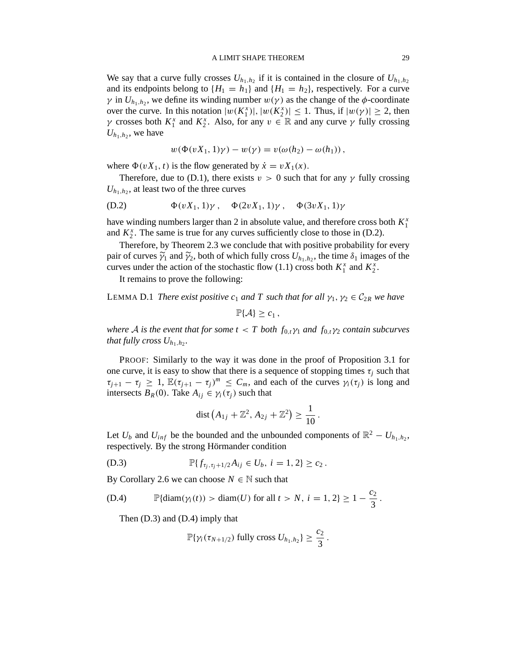#### A LIMIT SHAPE THEOREM 29

We say that a curve fully crosses  $U_{h_1,h_2}$  if it is contained in the closure of  $U_{h_1,h_2}$ and its endpoints belong to  $\{H_1 = h_1\}$  and  $\{H_1 = h_2\}$ , respectively. For a curve  $\gamma$  in  $U_{h_1,h_2}$ , we define its winding number  $w(\gamma)$  as the change of the  $\phi$ -coordinate over the curve. In this notation  $|w(K_1^x)|, |w(K_2^x)| \le 1$ . Thus, if  $|w(\gamma)| \ge 2$ , then *γ* crosses both  $K_1^x$  and  $K_2^x$ . Also, for any  $v \in \mathbb{R}$  and any curve *γ* fully crossing  $U_{h_1,h_2}$ , we have

$$
w(\Phi(vX_1, 1)\gamma) - w(\gamma) = v(\omega(h_2) - \omega(h_1)),
$$

where  $\Phi(vX_1, t)$  is the flow generated by  $\dot{x} = vX_1(x)$ .

Therefore, due to (D.1), there exists  $v > 0$  such that for any  $\gamma$  fully crossing  $U_{h_1,h_2}$ , at least two of the three curves

(D.2) 
$$
\Phi(vX_1, 1)\gamma, \quad \Phi(2vX_1, 1)\gamma, \quad \Phi(3vX_1, 1)\gamma
$$

have winding numbers larger than 2 in absolute value, and therefore cross both *K x* 1 and  $K_2^x$ . The same is true for any curves sufficiently close to those in (D.2).

Therefore, by Theorem 2.3 we conclude that with positive probability for every pair of curves  $\widetilde{\gamma}_1$  and  $\widetilde{\gamma}_2$ , both of which fully cross  $U_{h_1,h_2}$ , the time  $\delta_1$  images of the curves under the action of the stochastic flow (1.1) cross both  $K_1^x$  and  $K_2^x$ .

It remains to prove the following:

LEMMA D.1 *There exist positive c<sub>1</sub> and T such that for all*  $\gamma_1, \gamma_2 \in C_{2R}$  *we have* 

 $\mathbb{P}{A} > c_1$ ,

*where A is the event that for some*  $t < T$  *both*  $f_{0,t} \gamma_1$  *and*  $f_{0,t} \gamma_2$  *contain subcurves that fully cross*  $U_{h_1,h_2}$ .

PROOF: Similarly to the way it was done in the proof of Proposition 3.1 for one curve, it is easy to show that there is a sequence of stopping times  $\tau_i$  such that  $\tau_{j+1} - \tau_j \geq 1$ ,  $\mathbb{E}(\tau_{j+1} - \tau_j)^m \leq C_m$ , and each of the curves  $\gamma_i(\tau_j)$  is long and intersects  $B_R(0)$ . Take  $A_{ij} \in \gamma_i(\tau_j)$  such that

dist 
$$
(A_{1j} + \mathbb{Z}^2, A_{2j} + \mathbb{Z}^2) \ge \frac{1}{10}
$$
.

Let  $U_b$  and  $U_{inf}$  be the bounded and the unbounded components of  $\mathbb{R}^2 - U_{h_1,h_2}$ , respectively. By the strong Hörmander condition

(D.3) 
$$
\mathbb{P}\{f_{\tau_j,\tau_j+1/2}A_{ij}\in U_b, i=1,2\}\geq c_2.
$$

By Corollary 2.6 we can choose  $N \in \mathbb{N}$  such that

(D.4) 
$$
\mathbb{P}\{\text{diam}(\gamma_i(t)) > \text{diam}(U) \text{ for all } t > N, i = 1, 2\} \ge 1 - \frac{c_2}{3}.
$$

Then (D.3) and (D.4) imply that

$$
\mathbb{P}\{\gamma_i(\tau_{N+1/2}) \text{ fully cross } U_{h_1,h_2}\} \geq \frac{c_2}{3}.
$$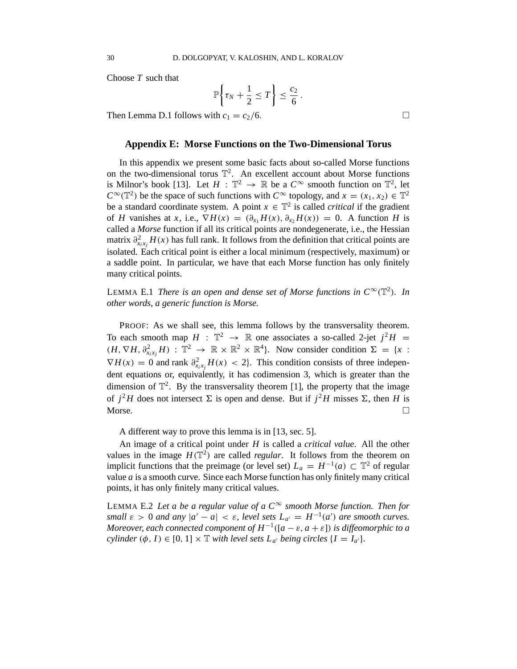Choose *T* such that

$$
\mathbb{P}\bigg\{\tau_N+\frac{1}{2}\leq T\bigg\}\leq \frac{c_2}{6}\,.
$$

Then Lemma D.1 follows with  $c_1 = c_2/6$ .

#### **Appendix E: Morse Functions on the Two-Dimensional Torus**

In this appendix we present some basic facts about so-called Morse functions on the two-dimensional torus  $\mathbb{T}^2$ . An excellent account about Morse functions is Milnor's book [13]. Let  $H : \mathbb{T}^2 \to \mathbb{R}$  be a  $C^{\infty}$  smooth function on  $\mathbb{T}^2$ , let  $C^{\infty}(\mathbb{T}^2)$  be the space of such functions with  $C^{\infty}$  topology, and  $x = (x_1, x_2) \in \mathbb{T}^2$ be a standard coordinate system. A point  $x \in \mathbb{T}^2$  is called *critical* if the gradient of *H* vanishes at *x*, i.e.,  $\nabla H(x) = (\partial_{x_1} H(x), \partial_{x_2} H(x)) = 0$ . A function *H* is called a *Morse* function if all its critical points are nondegenerate, i.e., the Hessian matrix  $\partial_{x_i x_j}^2 H(x)$  has full rank. It follows from the definition that critical points are isolated. Each critical point is either a local minimum (respectively, maximum) or a saddle point. In particular, we have that each Morse function has only finitely many critical points.

LEMMA E.1 *There is an open and dense set of Morse functions in*  $C^{\infty}(\mathbb{T}^2)$ . In *other words, a generic function is Morse.*

PROOF: As we shall see, this lemma follows by the transversality theorem. To each smooth map  $H : \mathbb{T}^2 \to \mathbb{R}$  one associates a so-called 2-jet  $j^2H =$  $(H, \nabla H, \partial^2_{x_i x_j} H) : \mathbb{T}^2 \to \mathbb{R} \times \mathbb{R}^2 \times \mathbb{R}^4$ . Now consider condition  $\Sigma = \{x :$  $\nabla H(x) = 0$  and rank  $\partial_{x_i x_j}^2 H(x) < 2$ . This condition consists of three independent equations or, equivalently, it has codimension 3, which is greater than the dimension of  $\mathbb{T}^2$ . By the transversality theorem [1], the property that the image of  $j^2H$  does not intersect  $\Sigma$  is open and dense. But if  $j^2H$  misses  $\Sigma$ , then *H* is Morse.  $\Box$ 

A different way to prove this lemma is in [13, sec. 5].

An image of a critical point under *H* is called a *critical value*. All the other values in the image  $H(\mathbb{T}^2)$  are called *regular*. It follows from the theorem on implicit functions that the preimage (or level set)  $L_a = H^{-1}(a) \subset \mathbb{T}^2$  of regular value *a* is a smooth curve. Since each Morse function has only finitely many critical points, it has only finitely many critical values.

LEMMA E.2 Let a be a regular value of a  $C^{\infty}$  *smooth Morse function. Then for small*  $\varepsilon > 0$  *and any*  $|a' - a| < \varepsilon$ , *level sets*  $L_{a'} = H^{-1}(a')$  *are smooth curves.*  $Moreover, each connected component of  $H^{-1}([a - \varepsilon, a + \varepsilon])$  *is diffeomorphic to a*$ *cylinder*  $(\phi, I) \in [0, 1] \times \mathbb{T}$  *with level sets*  $L_{a'}$  *being circles*  $\{I = I_{a'}\}.$ 

$$
\Box
$$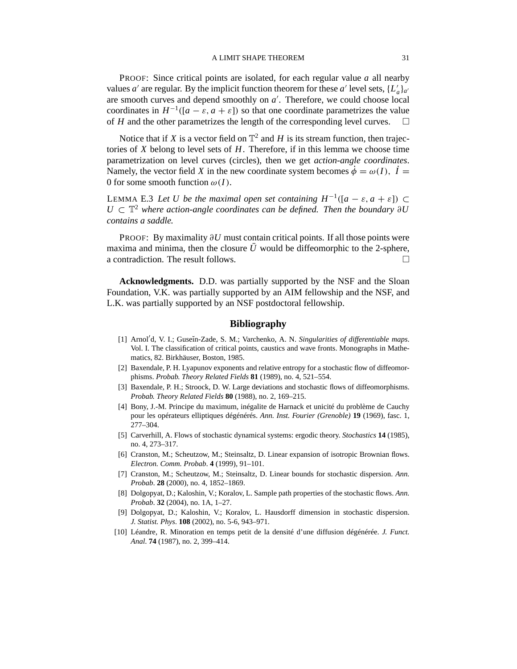PROOF: Since critical points are isolated, for each regular value *a* all nearby values *a'* are regular. By the implicit function theorem for these *a'* level sets,  $\{L'_a\}_{a'}$ are smooth curves and depend smoothly on *a* ′ . Therefore, we could choose local coordinates in  $H^{-1}([a - \varepsilon, a + \varepsilon])$  so that one coordinate parametrizes the value of *H* and the other parametrizes the length of the corresponding level curves.  $\Box$ 

Notice that if *X* is a vector field on  $\mathbb{T}^2$  and *H* is its stream function, then trajectories of *X* belong to level sets of *H*. Therefore, if in this lemma we choose time parametrization on level curves (circles), then we get *action-angle coordinates*. Namely, the vector field *X* in the new coordinate system becomes  $\dot{\phi} = \omega(I)$ ,  $\dot{I} =$ 0 for some smooth function  $\omega(I)$ .

LEMMA E.3 Let *U* be the maximal open set containing  $H^{-1}([a - \varepsilon, a + \varepsilon])$  ⊂  $U \subset \mathbb{T}^2$  where action-angle coordinates can be defined. Then the boundary ∂*U contains a saddle.*

PROOF: By maximality  $\partial U$  must contain critical points. If all those points were maxima and minima, then the closure  $\bar{U}$  would be diffeomorphic to the 2-sphere, a contradiction. The result follows.

**Acknowledgments.** D.D. was partially supported by the NSF and the Sloan Foundation, V.K. was partially supported by an AIM fellowship and the NSF, and L.K. was partially supported by an NSF postdoctoral fellowship.

#### **Bibliography**

- [1] Arnol<sup>'</sup>d, V. I.; Guseĭn-Zade, S. M.; Varchenko, A. N. *Singularities of differentiable maps*. Vol. I. The classification of critical points, caustics and wave fronts. Monographs in Mathematics, 82. Birkhäuser, Boston, 1985.
- [2] Baxendale, P. H. Lyapunov exponents and relative entropy for a stochastic flow of diffeomorphisms. *Probab. Theory Related Fields* **81** (1989), no. 4, 521–554.
- [3] Baxendale, P. H.; Stroock, D. W. Large deviations and stochastic flows of diffeomorphisms. *Probab. Theory Related Fields* **80** (1988), no. 2, 169–215.
- [4] Bony, J.-M. Principe du maximum, inégalite de Harnack et unicité du problème de Cauchy pour les opérateurs elliptiques dégénérés. *Ann. Inst. Fourier (Grenoble)* **19** (1969), fasc. 1, 277–304.
- [5] Carverhill, A. Flows of stochastic dynamical systems: ergodic theory. *Stochastics* **14** (1985), no. 4, 273–317.
- [6] Cranston, M.; Scheutzow, M.; Steinsaltz, D. Linear expansion of isotropic Brownian flows. *Electron. Comm. Probab*. **4** (1999), 91–101.
- [7] Cranston, M.; Scheutzow, M.; Steinsaltz, D. Linear bounds for stochastic dispersion. *Ann. Probab*. **28** (2000), no. 4, 1852–1869.
- [8] Dolgopyat, D.; Kaloshin, V.; Koralov, L. Sample path properties of the stochastic flows. *Ann. Probab*. **32** (2004), no. 1A, 1–27.
- [9] Dolgopyat, D.; Kaloshin, V.; Koralov, L. Hausdorff dimension in stochastic dispersion. *J. Statist. Phys*. **108** (2002), no. 5-6, 943–971.
- [10] Léandre, R. Minoration en temps petit de la densité d'une diffusion dégénérée. *J. Funct. Anal*. **74** (1987), no. 2, 399–414.